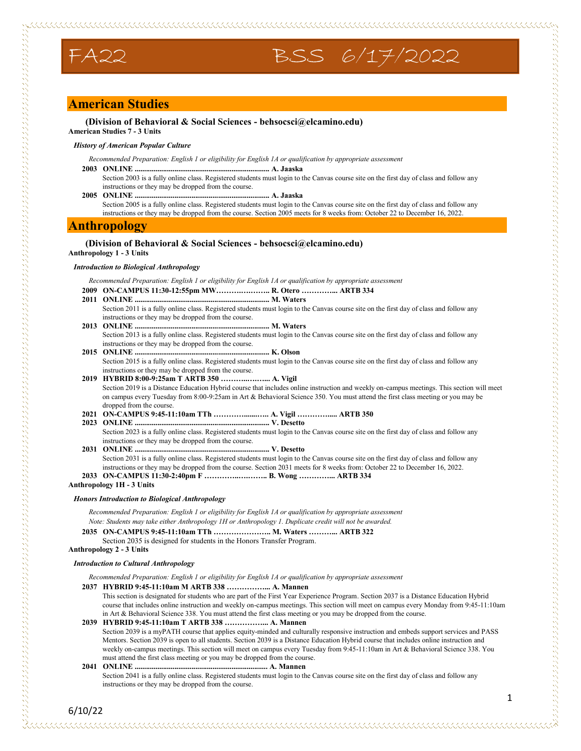## **American Studies**

**(Division of Behavioral & Social Sciences - behsocsci@elcamino.edu) American Studies 7 - 3 Units**

#### *History of American Popular Culture*

*Recommended Preparation: English 1 or eligibility for English 1A or qualification by appropriate assessment*

FA22 BSS 6/17/2022

**2003 ONLINE ....................................................................... A. Jaaska**

- Section 2003 is a fully online class. Registered students must login to the Canvas course site on the first day of class and follow any instructions or they may be dropped from the course.
- **2005 ONLINE ....................................................................... A. Jaaska**

Section 2005 is a fully online class. Registered students must login to the Canvas course site on the first day of class and follow any instructions or they may be dropped from the course. Section 2005 meets for 8 weeks from: October 22 to December 16, 2022.

## **Anthropology**

## **(Division of Behavioral & Social Sciences - behsocsci@elcamino.edu)**

**Anthropology 1 - 3 Units**

#### *Introduction to Biological Anthropology*

*Recommended Preparation: English 1 or eligibility for English 1A or qualification by appropriate assessment*

- **2009 ON-CAMPUS 11:30-12:55pm MW……….….…….. R. Otero …………... ARTB 334**
- **2011 ONLINE ....................................................................... M. Waters** Section 2011 is a fully online class. Registered students must login to the Canvas course site on the first day of class and follow any instructions or they may be dropped from the course. **2013 ONLINE ....................................................................... M. Waters** Section 2013 is a fully online class. Registered students must login to the Canvas course site on the first day of class and follow any instructions or they may be dropped from the course. **2015 ONLINE ....................................................................... K. Olson** Section 2015 is a fully online class. Registered students must login to the Canvas course site on the first day of class and follow any instructions or they may be dropped from the course. **2019 HYBRID 8:00-9:25am T ARTB 350 ………..….…... A. Vigil** Section 2019 is a Distance Education Hybrid course that includes online instruction and weekly on-campus meetings. This section will meet on campus every Tuesday from 8:00-9:25am in Art & Behavioral Science 350. You must attend the first class meeting or you may be dropped from the course. **2021 ON-CAMPUS 9:45-11:10am TTh ………….......….. A. Vigil …………..... ARTB 350 2023 ONLINE ....................................................................... V. Desetto** Section 2023 is a fully online class. Registered students must login to the Canvas course site on the first day of class and follow any instructions or they may be dropped from the course.
- **2031 ONLINE ....................................................................... V. Desetto** Section 2031 is a fully online class. Registered students must login to the Canvas course site on the first day of class and follow any instructions or they may be dropped from the course. Section 2031 meets for 8 weeks from: October 22 to December 16, 2022.
- **2033 ON-CAMPUS 11:30-2:40pm F …………..….…….. B. Wong …………... ARTB 334**

**Anthropology 1H - 3 Units**

#### *Honors Introduction to Biological Anthropology*

*Recommended Preparation: English 1 or eligibility for English 1A or qualification by appropriate assessment Note: Students may take either Anthropology 1H or Anthropology 1. Duplicate credit will not be awarded.*

**2035 ON-CAMPUS 9:45-11:10am TTh ………………….. M. Waters ………... ARTB 322**

Section 2035 is designed for students in the Honors Transfer Program.

**Anthropology 2 - 3 Units**

#### *Introduction to Cultural Anthropology*

*Recommended Preparation: English 1 or eligibility for English 1A or qualification by appropriate assessment*

**2037 HYBRID 9:45-11:10am M ARTB 338 ……………... A. Mannen**

This section is designated for students who are part of the First Year Experience Program. Section 2037 is a Distance Education Hybrid course that includes online instruction and weekly on-campus meetings. This section will meet on campus every Monday from 9:45-11:10am in Art & Behavioral Science 338. You must attend the first class meeting or you may be dropped from the course.

**2039 HYBRID 9:45-11:10am T ARTB 338 ……………... A. Mannen** Section 2039 is a myPATH course that applies equity-minded and culturally responsive instruction and embeds support services and PASS Mentors. Section 2039 is open to all students. Section 2039 is a Distance Education Hybrid course that includes online instruction and weekly on-campus meetings. This section will meet on campus every Tuesday from 9:45-11:10am in Art & Behavioral Science 338. You must attend the first class meeting or you may be dropped from the course.

**2041 ONLINE ...................................................................... A. Mannen** Section 2041 is a fully online class. Registered students must login to the Canvas course site on the first day of class and follow any instructions or they may be dropped from the course.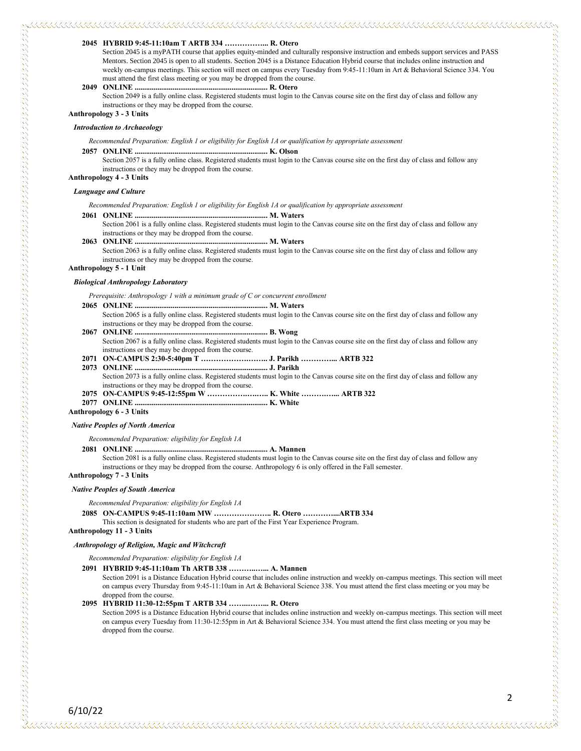#### **2045 HYBRID 9:45-11:10am T ARTB 334 ……………... R. Otero**

Section 2045 is a myPATH course that applies equity-minded and culturally responsive instruction and embeds support services and PASS Mentors. Section 2045 is open to all students. Section 2045 is a Distance Education Hybrid course that includes online instruction and weekly on-campus meetings. This section will meet on campus every Tuesday from 9:45-11:10am in Art & Behavioral Science 334. You must attend the first class meeting or you may be dropped from the course.

#### **2049 ONLINE ...................................................................... R. Otero**

Section 2049 is a fully online class. Registered students must login to the Canvas course site on the first day of class and follow any instructions or they may be dropped from the course.

#### **Anthropology 3 - 3 Units**

#### *Introduction to Archaeology*

*Recommended Preparation: English 1 or eligibility for English 1A or qualification by appropriate assessment*

#### **2057 ONLINE ...................................................................... K. Olson**

Section 2057 is a fully online class. Registered students must login to the Canvas course site on the first day of class and follow any instructions or they may be dropped from the course.

#### **Anthropology 4 - 3 Units**

#### *Language and Culture*

*Recommended Preparation: English 1 or eligibility for English 1A or qualification by appropriate assessment*

#### **2061 ONLINE ...................................................................... M. Waters**

Section 2061 is a fully online class. Registered students must login to the Canvas course site on the first day of class and follow any instructions or they may be dropped from the course.

**2063 ONLINE ...................................................................... M. Waters** Section 2063 is a fully online class. Registered students must login to the Canvas course site on the first day of class and follow any instructions or they may be dropped from the course.

#### **Anthropology 5 - 1 Unit**

#### *Biological Anthropology Laboratory*

*Prerequisite: Anthropology 1 with a minimum grade of C or concurrent enrollment*

- **2065 ONLINE ...................................................................... M. Waters** Section 2065 is a fully online class. Registered students must login to the Canvas course site on the first day of class and follow any instructions or they may be dropped from the course.
- **2067 ONLINE ...................................................................... B. Wong** Section 2067 is a fully online class. Registered students must login to the Canvas course site on the first day of class and follow any instructions or they may be dropped from the course.
- **2071 ON-CAMPUS 2:30-5:40pm T ……………….…….. J. Parikh …………... ARTB 322**
- **2073 ONLINE ...................................................................... J. Parikh**

Section 2073 is a fully online class. Registered students must login to the Canvas course site on the first day of class and follow any instructions or they may be dropped from the course.

- **2075 ON-CAMPUS 9:45-12:55pm W …………….….….. K. White ……….…... ARTB 322**
- **2077 ONLINE ...................................................................... K. White**

**Anthropology 6 - 3 Units**

#### *Native Peoples of North America*

*Recommended Preparation: eligibility for English 1A*

#### **2081 ONLINE ...................................................................... A. Mannen**

Section 2081 is a fully online class. Registered students must login to the Canvas course site on the first day of class and follow any instructions or they may be dropped from the course. Anthropology 6 is only offered in the Fall semester.

#### **Anthropology 7 - 3 Units**

#### *Native Peoples of South America*

*Recommended Preparation: eligibility for English 1A*

#### **2085 ON-CAMPUS 9:45-11:10am MW ………………….. R. Otero …………...ARTB 334**

This section is designated for students who are part of the First Year Experience Program.

**Anthropology 11 - 3 Units**

#### *Anthropology of Religion, Magic and Witchcraft*

*Recommended Preparation: eligibility for English 1A*

#### **2091 HYBRID 9:45-11:10am Th ARTB 338 ………..…... A. Mannen**

Section 2091 is a Distance Education Hybrid course that includes online instruction and weekly on-campus meetings. This section will meet on campus every Thursday from 9:45-11:10am in Art & Behavioral Science 338. You must attend the first class meeting or you may be dropped from the course.

#### **2095 HYBRID 11:30-12:55pm T ARTB 334 ……..……... R. Otero**

Section 2095 is a Distance Education Hybrid course that includes online instruction and weekly on-campus meetings. This section will meet on campus every Tuesday from 11:30-12:55pm in Art & Behavioral Science 334. You must attend the first class meeting or you may be dropped from the course.

6/10/22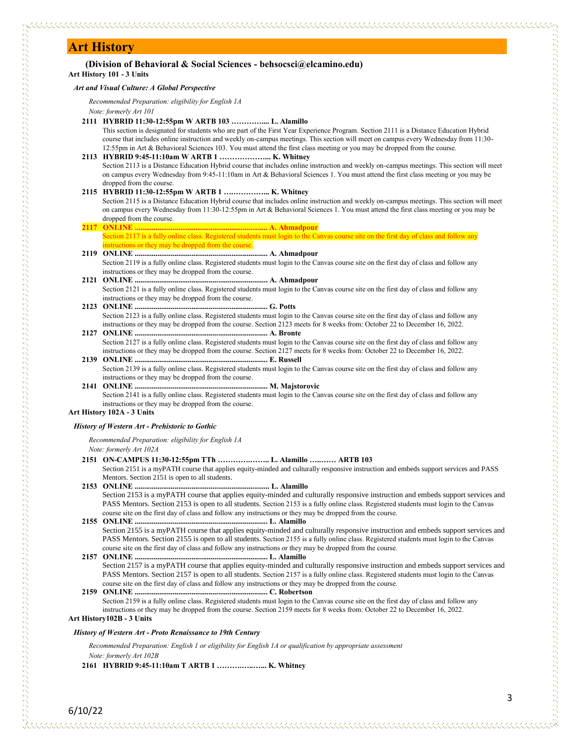## **Art History**

| <b>Art History</b>                                                                                                                                                                                                                                                                                                                                                                                                                                             |
|----------------------------------------------------------------------------------------------------------------------------------------------------------------------------------------------------------------------------------------------------------------------------------------------------------------------------------------------------------------------------------------------------------------------------------------------------------------|
| (Division of Behavioral & Social Sciences - behsocsci@elcamino.edu)<br>Art History 101 - 3 Units                                                                                                                                                                                                                                                                                                                                                               |
| Art and Visual Culture: A Global Perspective                                                                                                                                                                                                                                                                                                                                                                                                                   |
| Recommended Preparation: eligibility for English 1A<br>Note: formerly Art 101                                                                                                                                                                                                                                                                                                                                                                                  |
| 2111 HYBRID 11:30-12:55pm W ARTB 103  L. Alamillo<br>This section is designated for students who are part of the First Year Experience Program. Section 2111 is a Distance Education Hybrid<br>course that includes online instruction and weekly on-campus meetings. This section will meet on campus every Wednesday from 11:30-<br>12:55pm in Art & Behavioral Sciences 103. You must attend the first class meeting or you may be dropped from the course. |
| 2113 HYBRID 9:45-11:10am W ARTB 1  K. Whitney<br>Section 2113 is a Distance Education Hybrid course that includes online instruction and weekly on-campus meetings. This section will meet<br>on campus every Wednesday from 9:45-11:10am in Art & Behavioral Sciences 1. You must attend the first class meeting or you may be<br>dropped from the course.                                                                                                    |
| 2115 HYBRID 11:30-12:55pm W ARTB 1  K. Whitney<br>Section 2115 is a Distance Education Hybrid course that includes online instruction and weekly on-campus meetings. This section will meet<br>on campus every Wednesday from 11:30-12:55pm in Art & Behavioral Sciences 1. You must attend the first class meeting or you may be<br>dropped from the course.                                                                                                  |
|                                                                                                                                                                                                                                                                                                                                                                                                                                                                |
| Section 2117 is a fully online class. Registered students must login to the Canvas course site on the first day of class and follow any                                                                                                                                                                                                                                                                                                                        |
| instructions or they may be dropped from the course.<br>Section 2119 is a fully online class. Registered students must login to the Canvas course site on the first day of class and follow any<br>instructions or they may be dropped from the course.                                                                                                                                                                                                        |
| Section 2121 is a fully online class. Registered students must login to the Canvas course site on the first day of class and follow any<br>instructions or they may be dropped from the course.                                                                                                                                                                                                                                                                |
| Section 2123 is a fully online class. Registered students must login to the Canvas course site on the first day of class and follow any<br>instructions or they may be dropped from the course. Section 2123 meets for 8 weeks from: October 22 to December 16, 2022.                                                                                                                                                                                          |
| Section 2127 is a fully online class. Registered students must login to the Canvas course site on the first day of class and follow any<br>instructions or they may be dropped from the course. Section 2127 meets for 8 weeks from: October 22 to December 16, 2022.                                                                                                                                                                                          |
| Section 2139 is a fully online class. Registered students must login to the Canvas course site on the first day of class and follow any<br>instructions or they may be dropped from the course.                                                                                                                                                                                                                                                                |
| Section 2141 is a fully online class. Registered students must login to the Canvas course site on the first day of class and follow any<br>instructions or they may be dropped from the course.                                                                                                                                                                                                                                                                |
| Art History 102A - 3 Units                                                                                                                                                                                                                                                                                                                                                                                                                                     |
| History of Western Art - Prehistoric to Gothic                                                                                                                                                                                                                                                                                                                                                                                                                 |
| Recommended Preparation: eligibility for English 1A<br>Note: formerly Art 102A                                                                                                                                                                                                                                                                                                                                                                                 |
| 2151 ON-CAMPUS 11:30-12:55pm TTh  L. Alamillo  ARTB 103<br>Section 2151 is a myPATH course that applies equity-minded and culturally responsive instruction and embeds support services and PASS<br>Mentors. Section 2151 is open to all students.                                                                                                                                                                                                             |
| Section 2153 is a myPATH course that applies equity-minded and culturally responsive instruction and embeds support services and<br>PASS Mentors. Section 2153 is open to all students. Section 2153 is a fully online class. Registered students must login to the Canvas                                                                                                                                                                                     |
| course site on the first day of class and follow any instructions or they may be dropped from the course.<br>Section 2155 is a myPATH course that applies equity-minded and culturally responsive instruction and embeds support services and<br>PASS Mentors. Section 2155 is open to all students. Section 2155 is a fully online class. Registered students must login to the Canvas                                                                        |
| course site on the first day of class and follow any instructions or they may be dropped from the course.<br>Section 2157 is a myPATH course that applies equity-minded and culturally responsive instruction and embeds support services and                                                                                                                                                                                                                  |
| PASS Mentors. Section 2157 is open to all students. Section 2157 is a fully online class. Registered students must login to the Canvas<br>course site on the first day of class and follow any instructions or they may be dropped from the course.<br>Section 2159 is a fully online class. Registered students must login to the Canvas course site on the first day of class and follow any                                                                 |
| instructions or they may be dropped from the course. Section 2159 meets for 8 weeks from: October 22 to December 16, 2022.<br>Art History102B - 3 Units                                                                                                                                                                                                                                                                                                        |

## *History of Western Art - Proto Renaissance to 19th Century*

*Recommended Preparation: English 1 or eligibility for English 1A or qualification by appropriate assessment Note: formerly Art 102B*

**2161 HYBRID 9:45-11:10am T ARTB 1 ……….…..…... K. Whitney**

6/10/22

s conservation de conservation de la conservation de la conservation de la conservació de la conservació de la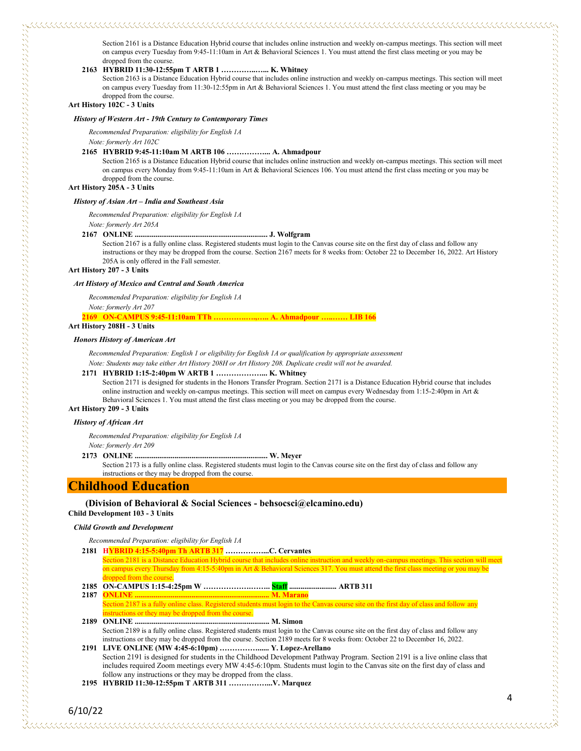Section 2161 is a Distance Education Hybrid course that includes online instruction and weekly on-campus meetings. This section will meet on campus every Tuesday from 9:45-11:10am in Art & Behavioral Sciences 1. You must attend the first class meeting or you may be dropped from the course.

#### **2163 HYBRID 11:30-12:55pm T ARTB 1 …………..…... K. Whitney**

Section 2163 is a Distance Education Hybrid course that includes online instruction and weekly on-campus meetings. This section will meet on campus every Tuesday from 11:30-12:55pm in Art & Behavioral Sciences 1. You must attend the first class meeting or you may be dropped from the course.

## **Art History 102C - 3 Units**

#### *History of Western Art - 19th Century to Contemporary Times*

*Recommended Preparation: eligibility for English 1A*

*Note: formerly Art 102C*

#### **2165 HYBRID 9:45-11:10am M ARTB 106 ……………... A. Ahmadpour**

Section 2165 is a Distance Education Hybrid course that includes online instruction and weekly on-campus meetings. This section will meet on campus every Monday from 9:45-11:10am in Art & Behavioral Sciences 106. You must attend the first class meeting or you may be dropped from the course.

**Art History 205A - 3 Units**

#### *History of Asian Art – India and Southeast Asia*

*Recommended Preparation: eligibility for English 1A*

*Note: formerly Art 205A*

#### **2167 ONLINE ...................................................................... J. Wolfgram**

Section 2167 is a fully online class. Registered students must login to the Canvas course site on the first day of class and follow any instructions or they may be dropped from the course. Section 2167 meets for 8 weeks from: October 22 to December 16, 2022. Art History 205A is only offered in the Fall semester.

#### **Art History 207 - 3 Units**

#### *Art History of Mexico and Central and South America*

*Recommended Preparation: eligibility for English 1A Note: formerly Art 207*

**2169 ON-CAMPUS 9:45-11:10am TTh ………….….,….. A. Ahmadpour …..…… LIB 166**

## **Art History 208H - 3 Units**

#### *Honors History of American Art*

*Recommended Preparation: English 1 or eligibility for English 1A or qualification by appropriate assessment Note: Students may take either Art History 208H or Art History 208. Duplicate credit will not be awarded.*

#### **2171 HYBRID 1:15-2:40pm W ARTB 1 ………………... K. Whitney**

Section 2171 is designed for students in the Honors Transfer Program. Section 2171 is a Distance Education Hybrid course that includes online instruction and weekly on-campus meetings. This section will meet on campus every Wednesday from 1:15-2:40pm in Art & Behavioral Sciences 1. You must attend the first class meeting or you may be dropped from the course.

## **Art History 209 - 3 Units**

#### *History of African Art*

*Recommended Preparation: eligibility for English 1A*

#### *Note: formerly Art 209*

#### **2173 ONLINE ...................................................................... W. Meyer**

Section 2173 is a fully online class. Registered students must login to the Canvas course site on the first day of class and follow any instructions or they may be dropped from the course.

## **Childhood Education**

#### **(Division of Behavioral & Social Sciences - behsocsci@elcamino.edu)**

## **Child Development 103 - 3 Units**

#### *Child Growth and Development*

*Recommended Preparation: eligibility for English 1A*

**2181 HYBRID 4:15-5:40pm Th ARTB 317 ……………...C. Cervantes**

Section 2181 is a Distance Education Hybrid course that includes online instruction and weekly on-campus meetings. This section will meet on campus every Thursday from 4:15-5:40pm in Art & Behavioral Sciences 317. You must attend the first class meeting or you may be d from the cours

- **2185 ON-CAMPUS 1:15-4:25pm W ……………….…….. Staff ......................... ARTB 311**
- **2187 ONLINE ....................................................................... M. Marano** Section 2187 is a fully online class. Registered students must login to the Canvas course site on the first day of class and follow any structions or they may be dropped from the course.

**2189 ONLINE ....................................................................... M. Simon** Section 2189 is a fully online class. Registered students must login to the Canvas course site on the first day of class and follow any instructions or they may be dropped from the course. Section 2189 meets for 8 weeks from: October 22 to December 16, 2022.

**2191 LIVE ONLINE (MW 4:45-6:10pm) ……………...... Y. Lopez-Arellano** Section 2191 is designed for students in the Childhood Development Pathway Program. Section 2191 is a live online class that includes required Zoom meetings every MW 4:45-6:10pm. Students must login to the Canvas site on the first day of class and follow any instructions or they may be dropped from the class.

**2195 HYBRID 11:30-12:55pm T ARTB 311 ……………...V. Marquez**

## 6/10/22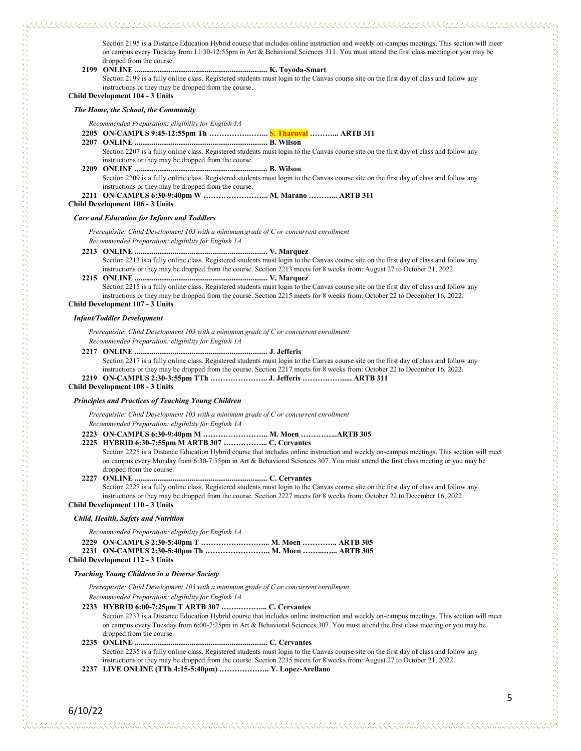Section 2195 is a Distance Education Hybrid course that includes online instruction and weekly on-campus meetings. This section will meet on campus every Tuesday from 11:30-12:55pm in Art & Behavioral Sciences 311. You must attend the first class meeting or you may be dropped from the course.

**2199 ONLINE ...................................................................... K. Toyoda-Smart**

Section 2199 is a fully online class. Registered students must login to the Canvas course site on the first day of class and follow any instructions or they may be dropped from the course.

**Child Development 104 - 3 Units**

*The Home, the School, the Community*

*Recommended Preparation: eligibility for English 1A*

**2205 ON-CAMPUS 9:45-12:55pm Th …………….…….. S. Tharuvai ………... ARTB 311**

- **2207 ONLINE ...................................................................... B. Wilson**
	- Section 2207 is a fully online class. Registered students must login to the Canvas course site on the first day of class and follow any instructions or they may be dropped from the course.
- **2209 ONLINE ...................................................................... B. Wilson** Section 2209 is a fully online class. Registered students must login to the Canvas course site on the first day of class and follow any instructions or they may be dropped from the course.
- **2211 ON-CAMPUS 6:30-9:40pm W …………………….. M. Marano ………... ARTB 311**

**Child Development 106 - 3 Units**

#### *Care and Education for Infants and Toddlers*

*Prerequisite: Child Development 103 with a minimum grade of C or concurrent enrollment Recommended Preparation: eligibility for English 1A*

- **2213 ONLINE ...................................................................... V. Marquez** Section 2213 is a fully online class. Registered students must login to the Canvas course site on the first day of class and follow any instructions or they may be dropped from the course. Section 2213 meets for 8 weeks from: August 27 to October 21, 2022.
- **2215 ONLINE ...................................................................... V. Marquez** Section 2215 is a fully online class. Registered students must login to the Canvas course site on the first day of class and follow any instructions or they may be dropped from the course. Section 2215 meets for 8 weeks from: October 22 to December 16, 2022.

**Child Development 107 - 3 Units**

#### *Infant/Toddler Development*

*Prerequisite: Child Development 103 with a minimum grade of C or concurrent enrollment*

*Recommended Preparation: eligibility for English 1A*

**2217 ONLINE ...................................................................... J. Jefferis**

Section 2217 is a fully online class. Registered students must login to the Canvas course site on the first day of class and follow any instructions or they may be dropped from the course. Section 2217 meets for 8 weeks from: October 22 to December 16, 2022. **2219 ON-CAMPUS 2:30-3:55pm TTh ………………….. J. Jefferis ……….……..... ARTB 311**

#### **Child Development 108 - 3 Units**

#### *Principles and Practices of Teaching Young Children*

*Prerequisite: Child Development 103 with a minimum grade of C or concurrent enrollment*

*Recommended Preparation: eligibility for English 1A*

- **2223 ON-CAMPUS 6:30-9:40pm M …………………….. M. Moen …………...ARTB 305**
- **2225 HYBRID 6:30-7:55pm M ARTB 307 ……………... C. Cervantes**
	- Section 2225 is a Distance Education Hybrid course that includes online instruction and weekly on-campus meetings. This section will meet on campus every Monday from 6:30-7:55pm in Art & Behavioral Sciences 307. You must attend the first class meeting or you may be dropped from the course.
- **2227 ONLINE ...................................................................... C. Cervantes**

Section 2227 is a fully online class. Registered students must login to the Canvas course site on the first day of class and follow any instructions or they may be dropped from the course. Section 2227 meets for 8 weeks from: October 22 to December 16, 2022. **Child Development 110 - 3 Units**

#### *Child, Health, Safety and Nutrition*

| Recommended Preparation: eligibility for English 1A |  |
|-----------------------------------------------------|--|
|-----------------------------------------------------|--|

| <b>Child Development 112 - 3 Units</b> |  |
|----------------------------------------|--|

#### *Teaching Young Children in a Diverse Society*

*Prerequisite: Child Development 103 with a minimum grade of C or concurrent enrollment Recommended Preparation: eligibility for English 1A*

**2233 HYBRID 6:00-7:25pm T ARTB 307 …….………... C. Cervantes**

Section 2233 is a Distance Education Hybrid course that includes online instruction and weekly on-campus meetings. This section will meet on campus every Tuesday from 6:00-7:25pm in Art & Behavioral Sciences 307. You must attend the first class meeting or you may be dropped from the course.

**2235 ONLINE ...................................................................... C. Cervantes** Section 2235 is a fully online class. Registered students must login to the Canvas course site on the first day of class and follow any instructions or they may be dropped from the course. Section 2235 meets for 8 weeks from: August 27 to October 21, 2022.

**2237 LIVE ONLINE (TTh 4:15-5:40pm) ……………….. Y. Lopez-Arellano**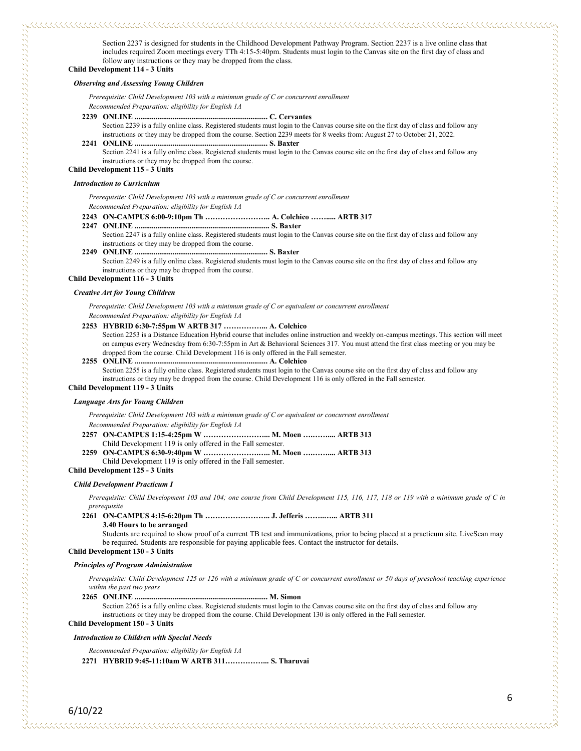Section 2237 is designed for students in the Childhood Development Pathway Program. Section 2237 is a live online class that includes required Zoom meetings every TTh 4:15-5:40pm. Students must login to the Canvas site on the first day of class and follow any instructions or they may be dropped from the class.

**Child Development 114 - 3 Units**

<u> KAANAANAN KANAN KAN</u>

#### *Observing and Assessing Young Children*

*Prerequisite: Child Development 103 with a minimum grade of C or concurrent enrollment Recommended Preparation: eligibility for English 1A*

**2239 ONLINE ...................................................................... C. Cervantes**

Section 2239 is a fully online class. Registered students must login to the Canvas course site on the first day of class and follow any instructions or they may be dropped from the course. Section 2239 meets for 8 weeks from: August 27 to October 21, 2022. **2241 ONLINE ...................................................................... S. Baxter**

Section 2241 is a fully online class. Registered students must login to the Canvas course site on the first day of class and follow any instructions or they may be dropped from the course.

#### **Child Development 115 - 3 Units**

#### *Introduction to Curriculum*

*Prerequisite: Child Development 103 with a minimum grade of C or concurrent enrollment Recommended Preparation: eligibility for English 1A*

#### **2243 ON-CAMPUS 6:00-9:10pm Th …………………….. A. Colchico ……..... ARTB 317**

**2247 ONLINE ....................................................................... S. Baxter** Section 2247 is a fully online class. Registered students must login to the Canvas course site on the first day of class and follow any instructions or they may be dropped from the course.

#### **2249 ONLINE ...................................................................... S. Baxter**

Section 2249 is a fully online class. Registered students must login to the Canvas course site on the first day of class and follow any instructions or they may be dropped from the course.

## **Child Development 116 - 3 Units**

#### *Creative Art for Young Children*

*Prerequisite: Child Development 103 with a minimum grade of C or equivalent or concurrent enrollment*

*Recommended Preparation: eligibility for English 1A*

#### **2253 HYBRID 6:30-7:55pm W ARTB 317 ……………... A. Colchico**

Section 2253 is a Distance Education Hybrid course that includes online instruction and weekly on-campus meetings. This section will meet on campus every Wednesday from 6:30-7:55pm in Art & Behavioral Sciences 317. You must attend the first class meeting or you may be dropped from the course. Child Development 116 is only offered in the Fall semester.

#### **2255 ONLINE ...................................................................... A. Colchico**

Section 2255 is a fully online class. Registered students must login to the Canvas course site on the first day of class and follow any instructions or they may be dropped from the course. Child Development 116 is only offered in the Fall semester.

## **Child Development 119 - 3 Units**

#### *Language Arts for Young Children*

*Prerequisite: Child Development 103 with a minimum grade of C or equivalent or concurrent enrollment*

- *Recommended Preparation: eligibility for English 1A*
- **2257 ON-CAMPUS 1:15-4:25pm W ……………………... M. Moen ….…….... ARTB 313**
- Child Development 119 is only offered in the Fall semester. **2259 ON-CAMPUS 6:30-9:40pm W ………………….….. M. Moen ….…….... ARTB 313**
- Child Development 119 is only offered in the Fall semester.

#### **Child Development 125 - 3 Units**

#### *Child Development Practicum I*

*Prerequisite: Child Development 103 and 104; one course from Child Development 115, 116, 117, 118 or 119 with a minimum grade of C in prerequisite*

#### **2261 ON-CAMPUS 4:15-6:20pm Th …………………….. J. Jefferis ……..…... ARTB 311 3.40 Hours to be arranged**

Students are required to show proof of a current TB test and immunizations, prior to being placed at a practicum site. LiveScan may be required. Students are responsible for paying applicable fees. Contact the instructor for details.

#### **Child Development 130 - 3 Units**

#### *Principles of Program Administration*

*Prerequisite: Child Development 125 or 126 with a minimum grade of C or concurrent enrollment or 50 days of preschool teaching experience within the past two years*

#### **2265 ONLINE ...................................................................... M. Simon**

Section 2265 is a fully online class. Registered students must login to the Canvas course site on the first day of class and follow any instructions or they may be dropped from the course. Child Development 130 is only offered in the Fall semester.

#### **Child Development 150 - 3 Units**

*Introduction to Children with Special Needs*

*Recommended Preparation: eligibility for English 1A*

**2271 HYBRID 9:45-11:10am W ARTB 311……………... S. Tharuvai**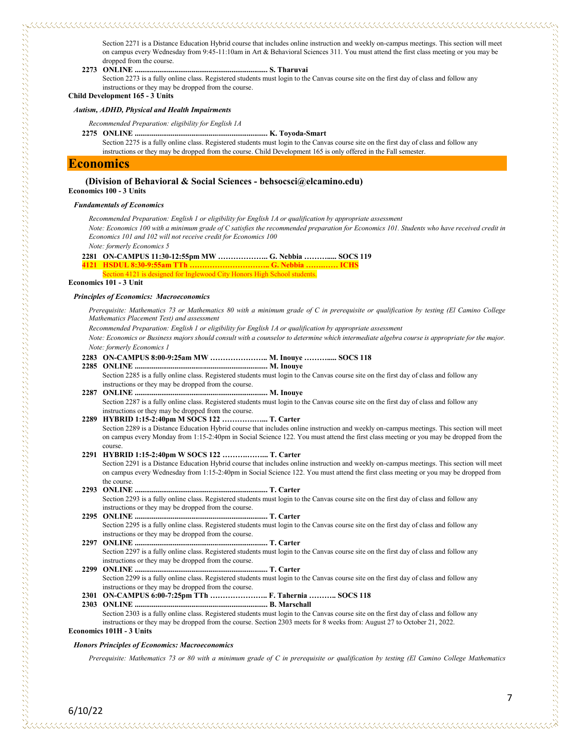Section 2271 is a Distance Education Hybrid course that includes online instruction and weekly on-campus meetings. This section will meet on campus every Wednesday from 9:45-11:10am in Art & Behavioral Sciences 311. You must attend the first class meeting or you may be dropped from the course.

**2273 ONLINE ...................................................................... S. Tharuvai**

Section 2273 is a fully online class. Registered students must login to the Canvas course site on the first day of class and follow any instructions or they may be dropped from the course.

**Child Development 165 - 3 Units**

#### *Autism, ADHD, Physical and Health Impairments*

- *Recommended Preparation: eligibility for English 1A*
- 

**2275 ONLINE ...................................................................... K. Toyoda-Smart**

Section 2275 is a fully online class. Registered students must login to the Canvas course site on the first day of class and follow any instructions or they may be dropped from the course. Child Development 165 is only offered in the Fall semester.

## **Economics**

## **(Division of Behavioral & Social Sciences - behsocsci@elcamino.edu)**

**Economics 100 - 3 Units**

#### *Fundamentals of Economics*

*Recommended Preparation: English 1 or eligibility for English 1A or qualification by appropriate assessment Note: Economics 100 with a minimum grade of C satisfies the recommended preparation for Economics 101. Students who have received credit in Economics 101 and 102 will not receive credit for Economics 100*

*Note: formerly Economics 5*

**2281 ON-CAMPUS 11:30-12:55pm MW ……………….. G. Nebbia ………..... SOCS 119**

**4121 HSDUL 8:30-9:55am TTh ………………………….. G. Nebbia …….…… ICHS**

tion 4121 is designed for Inglewood City Honors High School students.

#### **Economics 101 - 3 Unit**

しょうしょう しょうこう こうしょう こうしょう こうしょう こうしょう こうしょう こうしょう こうしょう こうしょう こうしょう こうしょう しょうしょう こうしょう こうしょう こうしょう こうしょう こうしょう こうしょう

#### *Principles of Economics: Macroeconomics*

*Prerequisite: Mathematics 73 or Mathematics 80 with a minimum grade of C in prerequisite or qualification by testing (El Camino College Mathematics Placement Test) and assessment*

*Recommended Preparation: English 1 or eligibility for English 1A or qualification by appropriate assessment*

*Note: Economics or Business majors should consult with a counselor to determine which intermediate algebra course is appropriate for the major. Note: formerly Economics 1*

- **2283 ON-CAMPUS 8:00-9:25am MW ………………….. M. Inouye ………..... SOCS 118**
- **2285 ONLINE ...................................................................... M. Inouye** Section 2285 is a fully online class. Registered students must login to the Canvas course site on the first day of class and follow any instructions or they may be dropped from the course. **2287 ONLINE ...................................................................... M. Inouye** Section 2287 is a fully online class. Registered students must login to the Canvas course site on the first day of class and follow any

instructions or they may be dropped from the course.

#### **2289 HYBRID 1:15-2:40pm M SOCS 122 ………….…... T. Carter**

Section 2289 is a Distance Education Hybrid course that includes online instruction and weekly on-campus meetings. This section will meet on campus every Monday from 1:15-2:40pm in Social Science 122. You must attend the first class meeting or you may be dropped from the course.

- **2291 HYBRID 1:15-2:40pm W SOCS 122 ……….……... T. Carter** Section 2291 is a Distance Education Hybrid course that includes online instruction and weekly on-campus meetings. This section will meet on campus every Wednesday from 1:15-2:40pm in Social Science 122. You must attend the first class meeting or you may be dropped from
- the course.<br>2293 ONLINE ..... **2293 ONLINE ...................................................................... T. Carter** Section 2293 is a fully online class. Registered students must login to the Canvas course site on the first day of class and follow any instructions or they may be dropped from the course. **2295 ONLINE ...................................................................... T. Carter**
- Section 2295 is a fully online class. Registered students must login to the Canvas course site on the first day of class and follow any instructions or they may be dropped from the course.
- **2297 ONLINE ...................................................................... T. Carter** Section 2297 is a fully online class. Registered students must login to the Canvas course site on the first day of class and follow any instructions or they may be dropped from the course.
- **2299 ONLINE ...................................................................... T. Carter** Section 2299 is a fully online class. Registered students must login to the Canvas course site on the first day of class and follow any instructions or they may be dropped from the course.
- **2301 ON-CAMPUS 6:00-7:25pm TTh ………………….. F. Tahernia ……….. SOCS 118**

#### **2303 ONLINE ...................................................................... B. Marschall**

Section 2303 is a fully online class. Registered students must login to the Canvas course site on the first day of class and follow any instructions or they may be dropped from the course. Section 2303 meets for 8 weeks from: August 27 to October 21, 2022. **Economics 101H - 3 Units**

#### *Honors Principles of Economics: Macroeconomics*

*Prerequisite: Mathematics 73 or 80 with a minimum grade of C in prerequisite or qualification by testing (El Camino College Mathematics*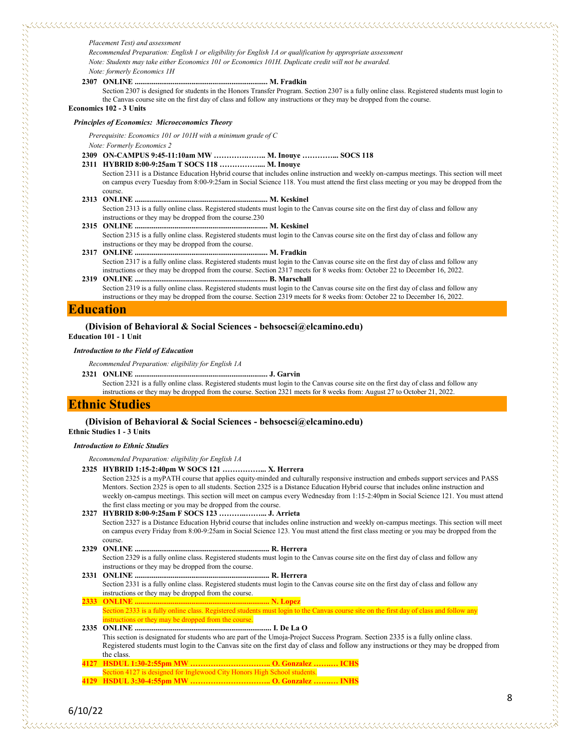*Recommended Preparation: English 1 or eligibility for English 1A or qualification by appropriate assessment Note: Students may take either Economics 101 or Economics 101H. Duplicate credit will not be awarded. Note: formerly Economics 1H*

## **2307 ONLINE ...................................................................... M. Fradkin**

Section 2307 is designed for students in the Honors Transfer Program. Section 2307 is a fully online class. Registered students must login to the Canvas course site on the first day of class and follow any instructions or they may be dropped from the course.

**Economics 102 - 3 Units**

#### *Principles of Economics: Microeconomics Theory*

*Prerequisite: Economics 101 or 101H with a minimum grade of C Note: Formerly Economics 2*

- **2309 ON-CAMPUS 9:45-11:10am MW ………….…….. M. Inouye …………... SOCS 118**
- **2311 HYBRID 8:00-9:25am T SOCS 118 …………….... M. Inouye**
	- Section 2311 is a Distance Education Hybrid course that includes online instruction and weekly on-campus meetings. This section will meet on campus every Tuesday from 8:00-9:25am in Social Science 118. You must attend the first class meeting or you may be dropped from the course.
- **2313 ONLINE ...................................................................... M. Keskinel** Section 2313 is a fully online class. Registered students must login to the Canvas course site on the first day of class and follow any
- instructions or they may be dropped from the course.230 **2315 ONLINE ...................................................................... M. Keskinel**

Section 2315 is a fully online class. Registered students must login to the Canvas course site on the first day of class and follow any instructions or they may be dropped from the course.

- **2317 ONLINE ...................................................................... M. Fradkin** Section 2317 is a fully online class. Registered students must login to the Canvas course site on the first day of class and follow any instructions or they may be dropped from the course. Section 2317 meets for 8 weeks from: October 22 to December 16, 2022.
- **2319 ONLINE ...................................................................... B. Marschall** Section 2319 is a fully online class. Registered students must login to the Canvas course site on the first day of class and follow any instructions or they may be dropped from the course. Section 2319 meets for 8 weeks from: October 22 to December 16, 2022.

## **Education**

#### **(Division of Behavioral & Social Sciences - behsocsci@elcamino.edu)**

**Education 101 - 1 Unit**

#### *Introduction to the Field of Education*

*Recommended Preparation: eligibility for English 1A*

- **2321 ONLINE ...................................................................... J. Garvin**
	- Section 2321 is a fully online class. Registered students must login to the Canvas course site on the first day of class and follow any instructions or they may be dropped from the course. Section 2321 meets for 8 weeks from: August 27 to October 21, 2022.

#### **Ethnic Studies**

## **(Division of Behavioral & Social Sciences - behsocsci@elcamino.edu)**

**Ethnic Studies 1 - 3 Units**

#### *Introduction to Ethnic Studies*

*Recommended Preparation: eligibility for English 1A*

**2325 HYBRID 1:15-2:40pm W SOCS 121 ……………... X. Herrera**

Section 2325 is a myPATH course that applies equity-minded and culturally responsive instruction and embeds support services and PASS Mentors. Section 2325 is open to all students. Section 2325 is a Distance Education Hybrid course that includes online instruction and weekly on-campus meetings. This section will meet on campus every Wednesday from 1:15-2:40pm in Social Science 121. You must attend the first class meeting or you may be dropped from the course.

- **2327 HYBRID 8:00-9:25am F SOCS 123 ………..……... J. Arrieta** Section 2327 is a Distance Education Hybrid course that includes online instruction and weekly on-campus meetings. This section will meet on campus every Friday from 8:00-9:25am in Social Science 123. You must attend the first class meeting or you may be dropped from the course. **2329 ONLINE ....................................................................... R. Herrera**
- Section 2329 is a fully online class. Registered students must login to the Canvas course site on the first day of class and follow any instructions or they may be dropped from the course.
- **2331 ONLINE ....................................................................... R. Herrera** Section 2331 is a fully online class. Registered students must login to the Canvas course site on the first day of class and follow any instructions or they may be dropped from the course.
- **2333 ONLINE ....................................................................... N. Lopez** Section 2333 is a fully online class. Registered students must login to the Canvas course site on the first day of class and follow any tructions or they may be dropped from the course.
- **2335 ONLINE ........................................................................ I. De La O** This section is designated for students who are part of the Umoja-Project Success Program. Section 2335 is a fully online class. Registered students must login to the Canvas site on the first day of class and follow any instructions or they may be dropped from the class. **4127 HSDUL 1:30-2:55pm MW ………………………….. O. Gonzalez …….… ICHS**
- ection 4127 is designed for Inglewood City Honors High School students.
- **4129 HSDUL 3:30-4:55pm MW ………………………….. O. Gonzalez …….… INHS**

8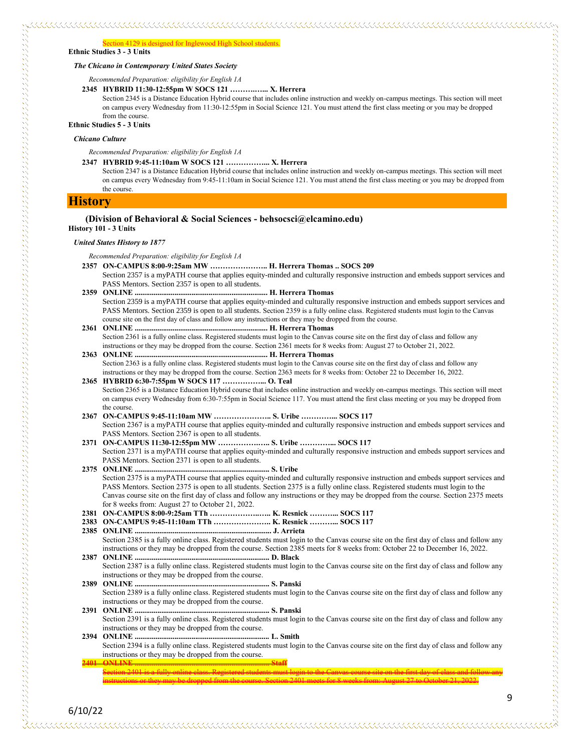#### *The Chicano in Contemporary United States Society*

*Recommended Preparation: eligibility for English 1A*

**2345 HYBRID 11:30-12:55pm W SOCS 121 ……….…... X. Herrera**

Section 2345 is a Distance Education Hybrid course that includes online instruction and weekly on-campus meetings. This section will meet on campus every Wednesday from 11:30-12:55pm in Social Science 121. You must attend the first class meeting or you may be dropped from the course.

**Ethnic Studies 5 - 3 Units**

#### *Chicano Culture*

*Recommended Preparation: eligibility for English 1A*

**2347 HYBRID 9:45-11:10am W SOCS 121 ……………... X. Herrera**

Section 2347 is a Distance Education Hybrid course that includes online instruction and weekly on-campus meetings. This section will meet on campus every Wednesday from 9:45-11:10am in Social Science 121. You must attend the first class meeting or you may be dropped from the course.

#### **History**

のことは、このことができないということができると、このことは、このことは、このことは、このことは、このことは、このことは、このことは、このことは、このことは、このことは、このことは、このことは、このことは、このことは、こ

#### **(Division of Behavioral & Social Sciences - behsocsci@elcamino.edu) History 101 - 3 Units**

## *United States History to 1877*

*Recommended Preparation: eligibility for English 1A*

- **2357 ON-CAMPUS 8:00-9:25am MW ………………….. H. Herrera Thomas .. SOCS 209** Section 2357 is a myPATH course that applies equity-minded and culturally responsive instruction and embeds support services and PASS Mentors. Section 2357 is open to all students.
- **2359 ONLINE ...................................................................... H. Herrera Thomas** Section 2359 is a myPATH course that applies equity-minded and culturally responsive instruction and embeds support services and PASS Mentors. Section 2359 is open to all students. Section 2359 is a fully online class. Registered students must login to the Canvas course site on the first day of class and follow any instructions or they may be dropped from the course.
- **2361 ONLINE ...................................................................... H. Herrera Thomas** Section 2361 is a fully online class. Registered students must login to the Canvas course site on the first day of class and follow any instructions or they may be dropped from the course. Section 2361 meets for 8 weeks from: August 27 to October 21, 2022.
- **2363 ONLINE ...................................................................... H. Herrera Thomas** Section 2363 is a fully online class. Registered students must login to the Canvas course site on the first day of class and follow any instructions or they may be dropped from the course. Section 2363 meets for 8 weeks from: October 22 to December 16, 2022.
- **2365 HYBRID 6:30-7:55pm W SOCS 117 ……………... O. Teal** Section 2365 is a Distance Education Hybrid course that includes online instruction and weekly on-campus meetings. This section will meet on campus every Wednesday from 6:30-7:55pm in Social Science 117. You must attend the first class meeting or you may be dropped from the course.
- **2367 ON-CAMPUS 9:45-11:10am MW ………………….. S. Uribe …………... SOCS 117** Section 2367 is a myPATH course that applies equity-minded and culturally responsive instruction and embeds support services and PASS Mentors. Section 2367 is open to all students.
- **2371 ON-CAMPUS 11:30-12:55pm MW …………….….. S. Uribe …………... SOCS 117** Section 2371 is a myPATH course that applies equity-minded and culturally responsive instruction and embeds support services and PASS Mentors. Section 2371 is open to all students.
- **2375 ONLINE ....................................................................... S. Uribe** Section 2375 is a myPATH course that applies equity-minded and culturally responsive instruction and embeds support services and PASS Mentors. Section 2375 is open to all students. Section 2375 is a fully online class. Registered students must login to the Canvas course site on the first day of class and follow any instructions or they may be dropped from the course. Section 2375 meets for 8 weeks from: August 27 to October 21, 2022.
- **2381 ON-CAMPUS 8:00-9:25am TTh ………………..….. K. Resnick ………... SOCS 117**
- **2383 ON-CAMPUS 9:45-11:10am TTh ………………….. K. Resnick ………... SOCS 117**
- **2385 ONLINE ........................................................................ J. Arrieta** Section 2385 is a fully online class. Registered students must login to the Canvas course site on the first day of class and follow any instructions or they may be dropped from the course. Section 2385 meets for 8 weeks from: October 22 to December 16, 2022.
- **2387 ONLINE ....................................................................... D. Black** Section 2387 is a fully online class. Registered students must login to the Canvas course site on the first day of class and follow any instructions or they may be dropped from the course.
- **2389 ONLINE ....................................................................... S. Panski** Section 2389 is a fully online class. Registered students must login to the Canvas course site on the first day of class and follow any instructions or they may be dropped from the course. **2391 ONLINE ....................................................................... S. Panski**
- Section 2391 is a fully online class. Registered students must login to the Canvas course site on the first day of class and follow any instructions or they may be dropped from the course.
- **2394 ONLINE ....................................................................... L. Smith** Section 2394 is a fully online class. Registered students must login to the Canvas course site on the first day of class and follow any instructions or they may be dropped from the course. **2401 ONLINE ....................................................................... Staff**
- Section 2401 is a fully online class. Registered students must login to the Canvas course site on the first day of class and follow any instructions or they may be dropped from the course. Section 2401 meets for 8 weeks from: August 27 to October 21, 2022.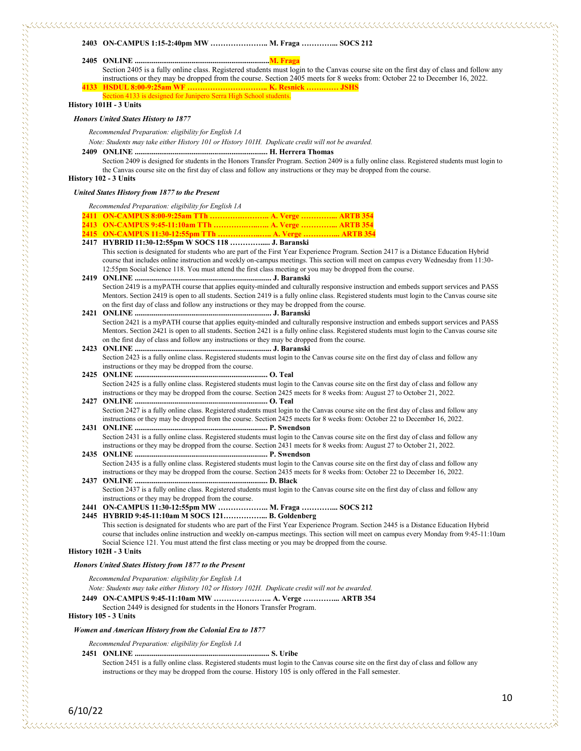#### **2403 ON-CAMPUS 1:15-2:40pm MW ………………….. M. Fraga …………... SOCS 212**

**2405 ONLINE .......................................................................M. Fraga**

Section 2405 is a fully online class. Registered students must login to the Canvas course site on the first day of class and follow any instructions or they may be dropped from the course. Section 2405 meets for 8 weeks from: October 22 to December 16, 2022. **4133 HSDUL 8:00-9:25am WF ………………………….. K. Resnick …….…… JSHS**

ection 4133 is designed for Junipero Serra High School students.

#### **History 101H - 3 Units**

#### *Honors United States History to 1877*

*Recommended Preparation: eligibility for English 1A*

*Note: Students may take either History 101 or History 101H. Duplicate credit will not be awarded.*

**2409 ONLINE ...................................................................... H. Herrera Thomas**

Section 2409 is designed for students in the Honors Transfer Program. Section 2409 is a fully online class. Registered students must login to the Canvas course site on the first day of class and follow any instructions or they may be dropped from the course.

#### **History 102 - 3 Units**

このようになることになることになることができない。このようには、このようには、このようになることができることができることができることができることができることができることができることができることができることができることがで

#### *United States History from 1877 to the Present*

*Recommended Preparation: eligibility for English 1A*

- **2411 ON-CAMPUS 8:00-9:25am TTh ………….……….. A. Verge …………... ARTB 354 2413 ON-CAMPUS 9:45-11:10am TTh ………….…..….. A. Verge …………... ARTB 354 2415 ON-CAMPUS 11:30-12:55pm TTh ……………..….. A. Verge …………... ARTB 354 2417 HYBRID 11:30-12:55pm W SOCS 118 …………..... J. Baranski** This section is designated for students who are part of the First Year Experience Program. Section 2417 is a Distance Education Hybrid course that includes online instruction and weekly on-campus meetings. This section will meet on campus every Wednesday from 11:30- 12:55pm Social Science 118. You must attend the first class meeting or you may be dropped from the course. **2419 ONLINE ........................................................................ J. Baranski** Section 2419 is a myPATH course that applies equity-minded and culturally responsive instruction and embeds support services and PASS Mentors. Section 2419 is open to all students. Section 2419 is a fully online class. Registered students must login to the Canvas course site on the first day of class and follow any instructions or they may be dropped from the course. **2421 ONLINE ........................................................................ J. Baranski** Section 2421 is a myPATH course that applies equity-minded and culturally responsive instruction and embeds support services and PASS Mentors. Section 2421 is open to all students. Section 2421 is a fully online class. Registered students must login to the Canvas course site on the first day of class and follow any instructions or they may be dropped from the course. **2423 ONLINE ........................................................................ J. Baranski** Section 2423 is a fully online class. Registered students must login to the Canvas course site on the first day of class and follow any instructions or they may be dropped from the course. **2425 ONLINE ...................................................................... O. Teal** Section 2425 is a fully online class. Registered students must login to the Canvas course site on the first day of class and follow any instructions or they may be dropped from the course. Section 2425 meets for 8 weeks from: August 27 to October 21, 2022. **2427 ONLINE ...................................................................... O. Teal** Section 2427 is a fully online class. Registered students must login to the Canvas course site on the first day of class and follow any instructions or they may be dropped from the course. Section 2425 meets for 8 weeks from: October 22 to December 16, 2022. **2431 ONLINE ...................................................................... P. Swendson** Section 2431 is a fully online class. Registered students must login to the Canvas course site on the first day of class and follow any instructions or they may be dropped from the course. Section 2431 meets for 8 weeks from: August 27 to October 21, 2022. **2435 ONLINE ...................................................................... P. Swendson** Section 2435 is a fully online class. Registered students must login to the Canvas course site on the first day of class and follow any instructions or they may be dropped from the course. Section 2435 meets for 8 weeks from: October 22 to December 16, 2022. **2437 ONLINE ...................................................................... D. Black** Section 2437 is a fully online class. Registered students must login to the Canvas course site on the first day of class and follow any instructions or they may be dropped from the course. **2441 ON-CAMPUS 11:30-12:55pm MW ……………….. M. Fraga …………... SOCS 212 2445 HYBRID 9:45-11:10am M SOCS 121……………... B. Goldenberg** This section is designated for students who are part of the First Year Experience Program. Section 2445 is a Distance Education Hybrid course that includes online instruction and weekly on-campus meetings. This section will meet on campus every Monday from 9:45-11:10am Social Science 121. You must attend the first class meeting or you may be dropped from the course. **History 102H - 3 Units** *Honors United States History from 1877 to the Present Recommended Preparation: eligibility for English 1A Note: Students may take either History 102 or History 102H. Duplicate credit will not be awarded.*
	-
	- **2449 ON-CAMPUS 9:45-11:10am MW ………………….. A. Verge …………... ARTB 354**
	- Section 2449 is designed for students in the Honors Transfer Program.

### **History 105 - 3 Units**

#### *Women and American History from the Colonial Era to 1877*

*Recommended Preparation: eligibility for English 1A*

#### **2451 ONLINE ....................................................................... S. Uribe**

Section 2451 is a fully online class. Registered students must login to the Canvas course site on the first day of class and follow any instructions or they may be dropped from the course. History 105 is only offered in the Fall semester.

6/10/22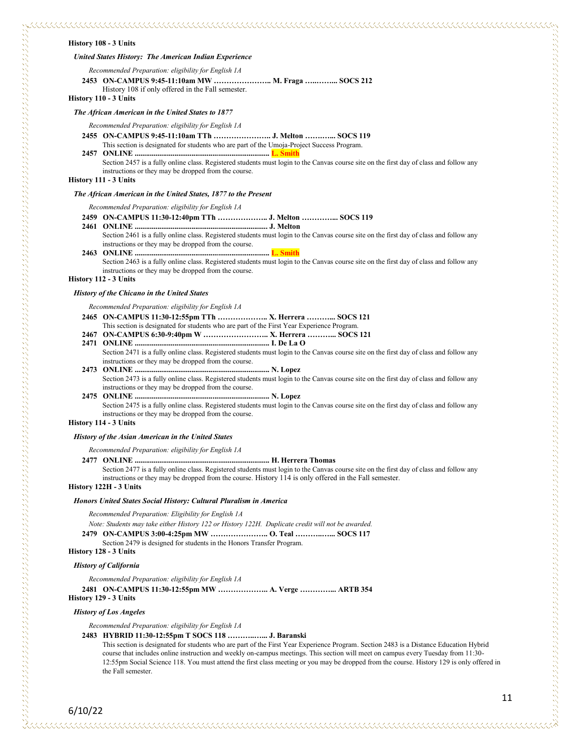#### **History 108 - 3 Units**

#### *United States History: The American Indian Experience*

*Recommended Preparation: eligibility for English 1A*

## **2453 ON-CAMPUS 9:45-11:10am MW ………………….. M. Fraga …..……... SOCS 212**

History 108 if only offered in the Fall semester.

**History 110 - 3 Units**

#### *The African American in the United States to 1877*

#### *Recommended Preparation: eligibility for English 1A*

**2455 ON-CAMPUS 9:45-11:10am TTh ………………….. J. Melton …….…... SOCS 119**

This section is designated for students who are part of the Umoja-Project Success Program. **2457 ONLINE ....................................................................... L. Smith** Section 2457 is a fully online class. Registered students must login to the Canvas course site on the first day of class and follow any

instructions or they may be dropped from the course.

**History 111 - 3 Units**

#### *The African American in the United States, 1877 to the Present*

*Recommended Preparation: eligibility for English 1A*

- **2459 ON-CAMPUS 11:30-12:40pm TTh ……………….. J. Melton …………... SOCS 119**
- **2461 ONLINE ...................................................................... J. Melton** Section 2461 is a fully online class. Registered students must login to the Canvas course site on the first day of class and follow any instructions or they may be dropped from the course.

#### **2463 ONLINE ....................................................................... L. Smith**

Section 2463 is a fully online class. Registered students must login to the Canvas course site on the first day of class and follow any instructions or they may be dropped from the course.

**History 112 - 3 Units**

#### *History of the Chicano in the United States*

*Recommended Preparation: eligibility for English 1A*

- **2465 ON-CAMPUS 11:30-12:55pm TTh ……………….. X. Herrera ………... SOCS 121**
- This section is designated for students who are part of the First Year Experience Program.
- **2467 ON-CAMPUS 6:30-9:40pm W …………………….. X. Herrera ………... SOCS 121**
- **2471 ONLINE ....................................................................... I. De La O** Section 2471 is a fully online class. Registered students must login to the Canvas course site on the first day of class and follow any instructions or they may be dropped from the course.
- **2473 ONLINE ....................................................................... N. Lopez** Section 2473 is a fully online class. Registered students must login to the Canvas course site on the first day of class and follow any
- instructions or they may be dropped from the course. **2475 ONLINE ....................................................................... N. Lopez** Section 2475 is a fully online class. Registered students must login to the Canvas course site on the first day of class and follow any instructions or they may be dropped from the course.

### **History 114 - 3 Units**

しょうこう こうしょう しょうしょう こうしょう こうしょう こうしょう こうしょう こうしょう こうしょう こうしょう こうしょう こうしょう こうしょう こうしょう こうしょう こうしょう こうしょう こうしょうこう

#### *History of the Asian American in the United States*

*Recommended Preparation: eligibility for English 1A*

- **2477 ONLINE ....................................................................... H. Herrera Thomas**
	- Section 2477 is a fully online class. Registered students must login to the Canvas course site on the first day of class and follow any instructions or they may be dropped from the course. History 114 is only offered in the Fall semester.

#### **History 122H - 3 Units**

#### *Honors United States Social History: Cultural Pluralism in America*

*Recommended Preparation: Eligibility for English 1A*

*Note: Students may take either History 122 or History 122H. Duplicate credit will not be awarded.*

**2479 ON-CAMPUS 3:00-4:25pm MW ………………….. O. Teal ………..…... SOCS 117**

Section 2479 is designed for students in the Honors Transfer Program.

## **History 128 - 3 Units**

#### *History of California*

*Recommended Preparation: eligibility for English 1A*

**2481 ON-CAMPUS 11:30-12:55pm MW ……………….. A. Verge …………... ARTB 354 History 129 - 3 Units**

#### *History of Los Angeles*

*Recommended Preparation: eligibility for English 1A*

#### **2483 HYBRID 11:30-12:55pm T SOCS 118 ………..…... J. Baranski**

This section is designated for students who are part of the First Year Experience Program. Section 2483 is a Distance Education Hybrid course that includes online instruction and weekly on-campus meetings. This section will meet on campus every Tuesday from 11:30- 12:55pm Social Science 118. You must attend the first class meeting or you may be dropped from the course. History 129 is only offered in the Fall semester.

6/10/22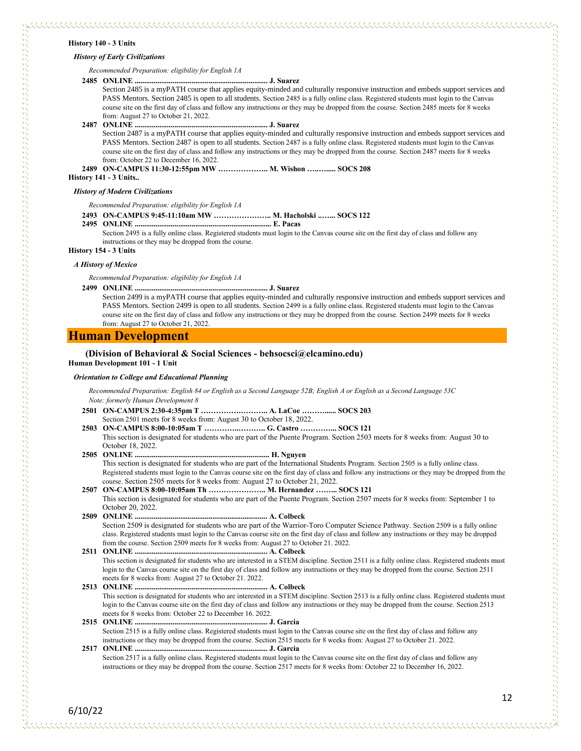#### **History 140 - 3 Units**

#### *History of Early Civilizations*

*Recommended Preparation: eligibility for English 1A*

#### **2485 ONLINE ...................................................................... J. Suarez**

Section 2485 is a myPATH course that applies equity-minded and culturally responsive instruction and embeds support services and PASS Mentors. Section 2485 is open to all students. Section 2485 is a fully online class. Registered students must login to the Canvas course site on the first day of class and follow any instructions or they may be dropped from the course. Section 2485 meets for 8 weeks from: August 27 to October 21, 2022.

#### **2487 ONLINE ...................................................................... J. Suarez**

Section 2487 is a myPATH course that applies equity-minded and culturally responsive instruction and embeds support services and PASS Mentors. Section 2487 is open to all students. Section 2487 is a fully online class. Registered students must login to the Canvas course site on the first day of class and follow any instructions or they may be dropped from the course. Section 2487 meets for 8 weeks from: October 22 to December 16, 2022.

**2489 ON-CAMPUS 11:30-12:55pm MW ……………….. M. Wishon …..…..... SOCS 208**

**History 141 - 3 Units..**

#### *History of Modern Civilizations*

*Recommended Preparation: eligibility for English 1A*

#### **2493 ON-CAMPUS 9:45-11:10am MW ………………….. M. Hacholski ..…... SOCS 122**

**2495 ONLINE ........................................................................ E. Pacas** Section 2495 is a fully online class. Registered students must login to the Canvas course site on the first day of class and follow any instructions or they may be dropped from the course.

**History 154 - 3 Units**

#### *A History of Mexico*

6/10/22

*Recommended Preparation: eligibility for English 1A*

**2499 ONLINE ...................................................................... J. Suarez**

Section 2499 is a myPATH course that applies equity-minded and culturally responsive instruction and embeds support services and PASS Mentors. Section 2499 is open to all students. Section 2499 is a fully online class. Registered students must login to the Canvas course site on the first day of class and follow any instructions or they may be dropped from the course. Section 2499 meets for 8 weeks from: August 27 to October 21, 2022.

## **Human Development**

#### **(Division of Behavioral & Social Sciences - behsocsci@elcamino.edu) Human Development 101 - 1 Unit**

#### *Orientation to College and Educational Planning*

*Recommended Preparation: English 84 or English as a Second Language 52B; English A or English as a Second Language 53C Note: formerly Human Development 8*

- **2501 ON-CAMPUS 2:30-4:35pm T …………….……….. A. LaCoe ………...... SOCS 203** Section 2501 meets for 8 weeks from: August 30 to October 18, 2022.
- **2503 ON-CAMPUS 8:00-10:05am T …………..……….. G. Castro …………... SOCS 121** This section is designated for students who are part of the Puente Program. Section 2503 meets for 8 weeks from: August 30 to October 18, 2022. **2505 ONLINE ....................................................................... H. Nguyen**
	- This section is designated for students who are part of the International Students Program. Section 2505 is a fully online class. Registered students must login to the Canvas course site on the first day of class and follow any instructions or they may be dropped from the course. Section 2505 meets for 8 weeks from: August 27 to October 21, 2022.
- **2507 ON-CAMPUS 8:00-10:05am Th ………………….. M. Hernandez ……... SOCS 121** This section is designated for students who are part of the Puente Program. Section 2507 meets for 8 weeks from: September 1 to October 20, 2022.
- **2509 ONLINE ...................................................................... A. Colbeck** Section 2509 is designated for students who are part of the Warrior-Toro Computer Science Pathway. Section 2509 is a fully online class. Registered students must login to the Canvas course site on the first day of class and follow any instructions or they may be dropped from the course. Section 2509 meets for 8 weeks from: August 27 to October 21. 2022.
- **2511 ONLINE ...................................................................... A. Colbeck** This section is designated for students who are interested in a STEM discipline. Section 2511 is a fully online class. Registered students must login to the Canvas course site on the first day of class and follow any instructions or they may be dropped from the course. Section 2511 meets for 8 weeks from: August 27 to October 21. 2022.
- **2513 ONLINE ...................................................................... A. Colbeck** This section is designated for students who are interested in a STEM discipline. Section 2513 is a fully online class. Registered students must login to the Canvas course site on the first day of class and follow any instructions or they may be dropped from the course. Section 2513 meets for 8 weeks from: October 22 to December 16. 2022.

**2515 ONLINE ...................................................................... J. Garcia** Section 2515 is a fully online class. Registered students must login to the Canvas course site on the first day of class and follow any instructions or they may be dropped from the course. Section 2515 meets for 8 weeks from: August 27 to October 21. 2022.

**2517 ONLINE ...................................................................... J. Garcia** Section 2517 is a fully online class. Registered students must login to the Canvas course site on the first day of class and follow any instructions or they may be dropped from the course. Section 2517 meets for 8 weeks from: October 22 to December 16, 2022.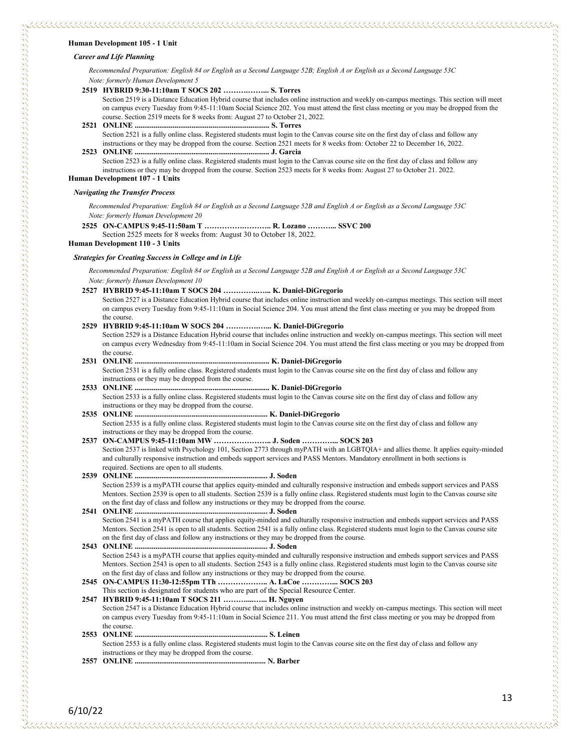#### **Human Development 105 - 1 Unit**

#### *Career and Life Planning*

*Recommended Preparation: English 84 or English as a Second Language 52B; English A or English as a Second Language 53C Note: formerly Human Development 5*

#### **2519 HYBRID 9:30-11:10am T SOCS 202 ……….……... S. Torres**

Section 2519 is a Distance Education Hybrid course that includes online instruction and weekly on-campus meetings. This section will meet on campus every Tuesday from 9:45-11:10am Social Science 202. You must attend the first class meeting or you may be dropped from the course. Section 2519 meets for 8 weeks from: August 27 to October 21, 2022.

**2521 ONLINE ....................................................................... S. Torres** Section 2521 is a fully online class. Registered students must login to the Canvas course site on the first day of class and follow any instructions or they may be dropped from the course. Section 2521 meets for 8 weeks from: October 22 to December 16, 2022.

#### **2523 ONLINE ....................................................................... J. Garcia**

Section 2523 is a fully online class. Registered students must login to the Canvas course site on the first day of class and follow any instructions or they may be dropped from the course. Section 2523 meets for 8 weeks from: August 27 to October 21. 2022.

**Human Development 107 - 1 Units**

#### *Navigating the Transfer Process*

*Recommended Preparation: English 84 or English as a Second Language 52B and English A or English as a Second Language 53C Note: formerly Human Development 20*

**2525 ON-CAMPUS 9:45-11:50am T …………….……….. R. Lozano ………... SSVC 200**

Section 2525 meets for 8 weeks from: August 30 to October 18, 2022.

**Human Development 110 - 3 Units**

#### *Strategies for Creating Success in College and in Life*

*Recommended Preparation: English 84 or English as a Second Language 52B and English A or English as a Second Language 53C Note: formerly Human Development 10*

#### **2527 HYBRID 9:45-11:10am T SOCS 204 …………..…... K. Daniel-DiGregorio**

**2529 HYBRID 9:45-11:10am W SOCS 204 ………….…... K. Daniel-DiGregorio**

Section 2527 is a Distance Education Hybrid course that includes online instruction and weekly on-campus meetings. This section will meet on campus every Tuesday from 9:45-11:10am in Social Science 204. You must attend the first class meeting or you may be dropped from the course.

| Section 2529 is a Distance Education Hybrid course that includes online instruction and weekly on-campus meetings. This section will meet |
|-------------------------------------------------------------------------------------------------------------------------------------------|
| on campus every Wednesday from 9:45-11:10am in Social Science 204. You must attend the first class meeting or you may be dropped from     |
| the course.                                                                                                                               |
|                                                                                                                                           |
| Section 2531 is a fully online class. Registered students must login to the Canvas course site on the first day of class and follow any   |
| instructions or they may be dropped from the course.                                                                                      |
|                                                                                                                                           |
| Section 2533 is a fully online class. Registered students must login to the Canvas course site on the first day of class and follow any   |
| instructions or they may be dropped from the course.                                                                                      |
|                                                                                                                                           |
| Section 2535 is a fully online class. Registered students must login to the Canvas course site on the first day of class and follow any   |
| instructions or they may be dropped from the course.                                                                                      |
|                                                                                                                                           |
| Section 2537 is linked with Psychology 101, Section 2773 through myPATH with an LGBTQIA+ and allies theme. It applies equity-minded       |
| and culturally responsive instruction and embeds support services and PASS Mentors. Mandatory enrollment in both sections is              |
| required. Sections are open to all students.                                                                                              |

**2539 ONLINE ...................................................................... J. Soden** Section 2539 is a myPATH course that applies equity-minded and culturally responsive instruction and embeds support services and PASS Mentors. Section 2539 is open to all students. Section 2539 is a fully online class. Registered students must login to the Canvas course site on the first day of class and follow any instructions or they may be dropped from the course. **2541 ONLINE ...................................................................... J. Soden**

Section 2541 is a myPATH course that applies equity-minded and culturally responsive instruction and embeds support services and PASS Mentors. Section 2541 is open to all students. Section 2541 is a fully online class. Registered students must login to the Canvas course site on the first day of class and follow any instructions or they may be dropped from the course.

**2543 ONLINE ...................................................................... J. Soden** Section 2543 is a myPATH course that applies equity-minded and culturally responsive instruction and embeds support services and PASS Mentors. Section 2543 is open to all students. Section 2543 is a fully online class. Registered students must login to the Canvas course site on the first day of class and follow any instructions or they may be dropped from the course.

**2545 ON-CAMPUS 11:30-12:55pm TTh ……………….. A. LaCoe …………... SOCS 203** This section is designated for students who are part of the Special Resource Center.

**2547 HYBRID 9:45-11:10am T SOCS 211 ………....…... H. Nguyen** Section 2547 is a Distance Education Hybrid course that includes online instruction and weekly on-campus meetings. This section will meet on campus every Tuesday from 9:45-11:10am in Social Science 211. You must attend the first class meeting or you may be dropped from the course.

**2553 ONLINE ...................................................................... S. Leinen** Section 2553 is a fully online class. Registered students must login to the Canvas course site on the first day of class and follow any instructions or they may be dropped from the course.

**2557 ONLINE ..................................................................... N. Barber**

しょうしょう しょうしょう しょうしん しょうしん しょうしょう しょうしょう こうしょう こうしょう こうしょう こうしょう こうしょう こうしょう こうしょう こうしょう こうしょう しょうしょう しょうしょう しょうしょう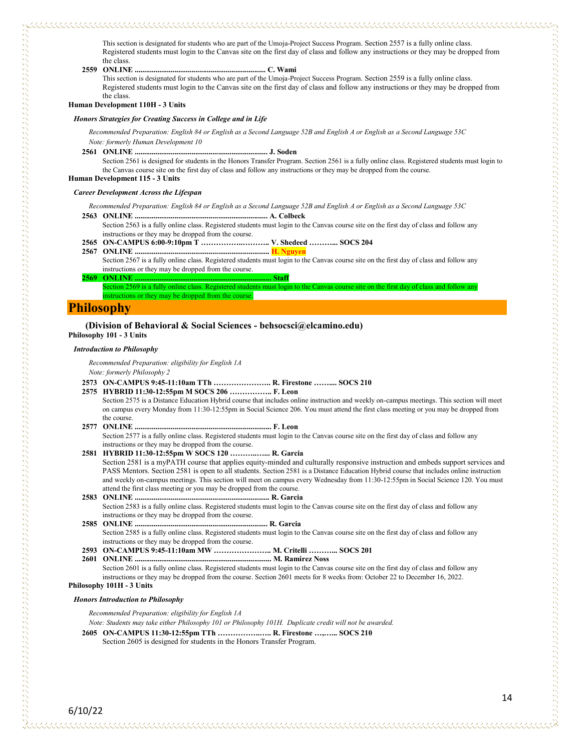This section is designated for students who are part of the Umoja-Project Success Program. Section 2557 is a fully online class. Registered students must login to the Canvas site on the first day of class and follow any instructions or they may be dropped from the class.

- 
- **2559 ONLINE ..................................................................... C. Wami**

This section is designated for students who are part of the Umoja-Project Success Program. Section 2559 is a fully online class. Registered students must login to the Canvas site on the first day of class and follow any instructions or they may be dropped from the class.

#### **Human Development 110H - 3 Units**

#### *Honors Strategies for Creating Success in College and in Life*

*Recommended Preparation: English 84 or English as a Second Language 52B and English A or English as a Second Language 53C Note: formerly Human Development 10*

**2561 ONLINE ...................................................................... J. Soden**

Section 2561 is designed for students in the Honors Transfer Program. Section 2561 is a fully online class. Registered students must login to the Canvas course site on the first day of class and follow any instructions or they may be dropped from the course.

#### **Human Development 115 - 3 Units**

#### *Career Development Across the Lifespan*

*Recommended Preparation: English 84 or English as a Second Language 52B and English A or English as a Second Language 53C*

- **2563 ONLINE ...................................................................... A. Colbeck** Section 2563 is a fully online class. Registered students must login to the Canvas course site on the first day of class and follow any instructions or they may be dropped from the course.
- **2565 ON-CAMPUS 6:00-9:10pm T ……………..……….. V. Shedeed ………... SOCS 204**
- **2567 ONLINE ....................................................................... H. Nguyen**
	- Section 2567 is a fully online class. Registered students must login to the Canvas course site on the first day of class and follow any instructions or they may be dropped from the course.
- **2569 ONLINE ........................................................................ Staff**

Section 2569 is a fully online class. Registered students must login to the Canvas course site on the first day of class and follow any instructions or they may be dropped from the course.

## **Philosophy**

していることです。それは、このようになることをしていることをしていることをしていることをしていることをしていることをしていることをしていることをしていることをしていることになっていることです。このようになっていることです

#### **(Division of Behavioral & Social Sciences - behsocsci@elcamino.edu) Philosophy 101 - 3 Units**

## *Introduction to Philosophy*

*Recommended Preparation: eligibility for English 1A Note: formerly Philosophy 2*

- **2573 ON-CAMPUS 9:45-11:10am TTh ………………….. R. Firestone …….... SOCS 210**
- **2575 HYBRID 11:30-12:55pm M SOCS 206 …………….. F. Leon** Section 2575 is a Distance Education Hybrid course that includes online instruction and weekly on-campus meetings. This section will meet on campus every Monday from 11:30-12:55pm in Social Science 206. You must attend the first class meeting or you may be dropped from the course. **2577 ONLINE ........................................................................ F. Leon**
- Section 2577 is a fully online class. Registered students must login to the Canvas course site on the first day of class and follow any instructions or they may be dropped from the course.
- **2581 HYBRID 11:30-12:55pm W SOCS 120 ………..…... R. Garcia** Section 2581 is a myPATH course that applies equity-minded and culturally responsive instruction and embeds support services and PASS Mentors. Section 2581 is open to all students. Section 2581 is a Distance Education Hybrid course that includes online instruction and weekly on-campus meetings. This section will meet on campus every Wednesday from 11:30-12:55pm in Social Science 120. You must attend the first class meeting or you may be dropped from the course.
- **2583 ONLINE ....................................................................... R. Garcia** Section 2583 is a fully online class. Registered students must login to the Canvas course site on the first day of class and follow any instructions or they may be dropped from the course.
- **2585 ONLINE ...................................................................... R. Garcia** Section 2585 is a fully online class. Registered students must login to the Canvas course site on the first day of class and follow any instructions or they may be dropped from the course.
- **2593 ON-CAMPUS 9:45-11:10am MW ………………….. M. Critelli ………... SOCS 201**
- **2601 ONLINE ........................................................................ M. Ramirez Noss** Section 2601 is a fully online class. Registered students must login to the Canvas course site on the first day of class and follow any instructions or they may be dropped from the course. Section 2601 meets for 8 weeks from: October 22 to December 16, 2022.

#### **Philosophy 101H - 3 Units**

#### *Honors Introduction to Philosophy*

*Recommended Preparation: eligibility for English 1A*

*Note: Students may take either Philosophy 101 or Philosophy 101H. Duplicate credit will not be awarded.*

**2605 ON-CAMPUS 11:30-12:55pm TTh ……………..….. R. Firestone …,…... SOCS 210** Section 2605 is designed for students in the Honors Transfer Program.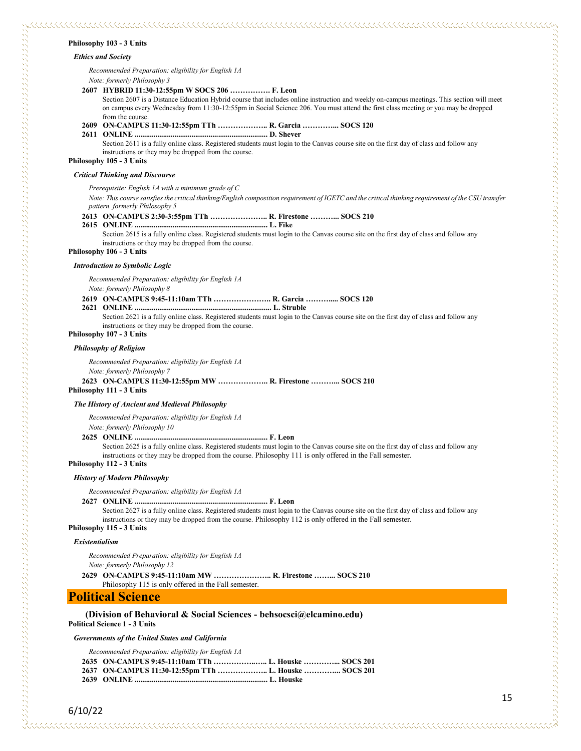#### **Philosophy 103 - 3 Units**

#### *Ethics and Society*

*Recommended Preparation: eligibility for English 1A Note: formerly Philosophy 3*

#### **2607 HYBRID 11:30-12:55pm W SOCS 206 ……………. F. Leon**

Section 2607 is a Distance Education Hybrid course that includes online instruction and weekly on-campus meetings. This section will meet on campus every Wednesday from 11:30-12:55pm in Social Science 206. You must attend the first class meeting or you may be dropped from the course.

**2609 ON-CAMPUS 11:30-12:55pm TTh ……………….. R. Garcia …………... SOCS 120**

**2611 ONLINE ...................................................................... D. Shever** Section 2611 is a fully online class. Registered students must login to the Canvas course site on the first day of class and follow any instructions or they may be dropped from the course.

**Philosophy 105 - 3 Units**

#### *Critical Thinking and Discourse*

#### *Prerequisite: English 1A with a minimum grade of C*

*Note: This course satisfies the critical thinking/English composition requirement of IGETC and the critical thinking requirement of the CSU transfer pattern. formerly Philosophy 5*

#### **2613 ON-CAMPUS 2:30-3:55pm TTh ………………….. R. Firestone ………... SOCS 210**

**2615 ONLINE ...................................................................... L. Fike** Section 2615 is a fully online class. Registered students must login to the Canvas course site on the first day of class and follow any

instructions or they may be dropped from the course.

## **Philosophy 106 - 3 Units**

#### *Introduction to Symbolic Logic*

*Recommended Preparation: eligibility for English 1A*

*Note: formerly Philosophy 8*

#### **2619 ON-CAMPUS 9:45-11:10am TTh ………………….. R. Garcia ………..... SOCS 120**

**2621 ONLINE ........................................................................ L. Struble**

Section 2621 is a fully online class. Registered students must login to the Canvas course site on the first day of class and follow any instructions or they may be dropped from the course.

## **Philosophy 107 - 3 Units**

#### *Philosophy of Religion*

*Recommended Preparation: eligibility for English 1A Note: formerly Philosophy 7*

#### **2623 ON-CAMPUS 11:30-12:55pm MW ……………….. R. Firestone ………... SOCS 210 Philosophy 111 - 3 Units**

#### *The History of Ancient and Medieval Philosophy*

*Recommended Preparation: eligibility for English 1A*

*Note: formerly Philosophy 10*

#### **2625 ONLINE ...................................................................... F. Leon**

Section 2625 is a fully online class. Registered students must login to the Canvas course site on the first day of class and follow any instructions or they may be dropped from the course. Philosophy 111 is only offered in the Fall semester.

#### **Philosophy 112 - 3 Units**

#### *History of Modern Philosophy*

*Recommended Preparation: eligibility for English 1A*

#### **2627 ONLINE ...................................................................... F. Leon** Section 2627 is a fully online class. Registered students must login to the Canvas course site on the first day of class and follow any

instructions or they may be dropped from the course. Philosophy 112 is only offered in the Fall semester.

#### **Philosophy 115 - 3 Units**

#### *Existentialism*

*Recommended Preparation: eligibility for English 1A Note: formerly Philosophy 12* **2629 ON-CAMPUS 9:45-11:10am MW ………………….. R. Firestone ……... SOCS 210** Philosophy 115 is only offered in the Fall semester.

## **Political Science**

#### **(Division of Behavioral & Social Sciences - behsocsci@elcamino.edu) Political Science 1 - 3 Units**

*Governments of the United States and California*

| Recommended Preparation: eligibility for English 1A |  |  |
|-----------------------------------------------------|--|--|
|                                                     |  |  |

| 2635 ON-CAMPUS 9:45-11:10am TTh  L. Houske  SOCS 201  |  |  |
|-------------------------------------------------------|--|--|
| 2637 ON-CAMPUS 11:30-12:55pm TTh  L. Houske  SOCS 201 |  |  |
|                                                       |  |  |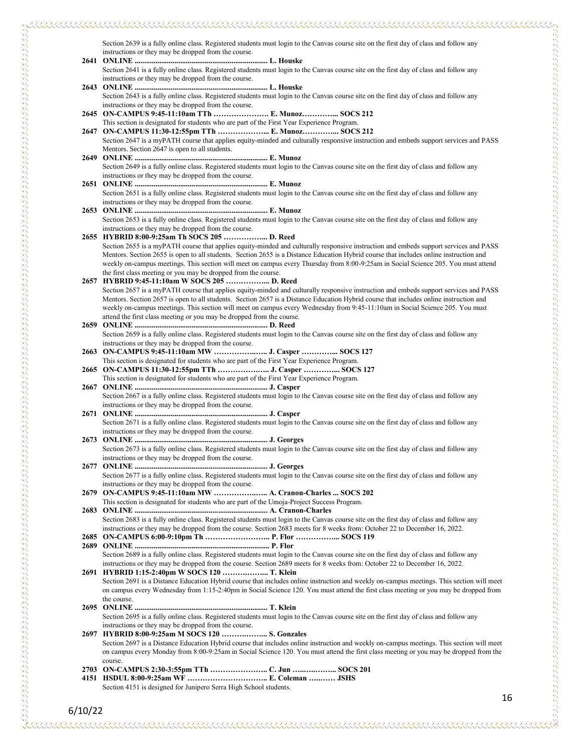Section 2639 is a fully online class. Registered students must login to the Canvas course site on the first day of class and follow any instructions or they may be dropped from the course.

| Section 2641 is a fully online class. Registered students must login to the Canvas course site on the first day of class and follow any                                                         |
|-------------------------------------------------------------------------------------------------------------------------------------------------------------------------------------------------|
| instructions or they may be dropped from the course.                                                                                                                                            |
|                                                                                                                                                                                                 |
| Section 2643 is a fully online class. Registered students must login to the Canvas course site on the first day of class and follow any                                                         |
| instructions or they may be dropped from the course.                                                                                                                                            |
| 2645 ON-CAMPUS 9:45-11:10am TTh  E. Munoz SOCS 212                                                                                                                                              |
| This section is designated for students who are part of the First Year Experience Program.                                                                                                      |
| 2647 ON-CAMPUS 11:30-12:55pm TTh  E. Munoz SOCS 212                                                                                                                                             |
| Section 2647 is a myPATH course that applies equity-minded and culturally responsive instruction and embeds support services and PASS                                                           |
| Mentors. Section 2647 is open to all students.                                                                                                                                                  |
|                                                                                                                                                                                                 |
| Section 2649 is a fully online class. Registered students must login to the Canvas course site on the first day of class and follow any                                                         |
| instructions or they may be dropped from the course.                                                                                                                                            |
|                                                                                                                                                                                                 |
| Section 2651 is a fully online class. Registered students must login to the Canvas course site on the first day of class and follow any<br>instructions or they may be dropped from the course. |
|                                                                                                                                                                                                 |
| Section 2653 is a fully online class. Registered students must login to the Canvas course site on the first day of class and follow any                                                         |
| instructions or they may be dropped from the course.                                                                                                                                            |
| 2655 HYBRID 8:00-9:25am Th SOCS 205  D. Reed                                                                                                                                                    |
| Section 2655 is a myPATH course that applies equity-minded and culturally responsive instruction and embeds support services and PASS                                                           |
| Mentors. Section 2655 is open to all students. Section 2655 is a Distance Education Hybrid course that includes online instruction and                                                          |
| weekly on-campus meetings. This section will meet on campus every Thursday from 8:00-9:25am in Social Science 205. You must attend                                                              |
| the first class meeting or you may be dropped from the course.                                                                                                                                  |
| 2657 HYBRID 9:45-11:10am W SOCS 205  D. Reed                                                                                                                                                    |
| Section 2657 is a myPATH course that applies equity-minded and culturally responsive instruction and embeds support services and PASS                                                           |
| Mentors. Section 2657 is open to all students. Section 2657 is a Distance Education Hybrid course that includes online instruction and                                                          |
| weekly on-campus meetings. This section will meet on campus every Wednesday from 9:45-11:10am in Social Science 205. You must                                                                   |
| attend the first class meeting or you may be dropped from the course.                                                                                                                           |
|                                                                                                                                                                                                 |
| Section 2659 is a fully online class. Registered students must login to the Canvas course site on the first day of class and follow any                                                         |
| instructions or they may be dropped from the course.<br>2663 ON-CAMPUS 9:45-11:10am MW  J. Casper  SOCS 127                                                                                     |
| This section is designated for students who are part of the First Year Experience Program.                                                                                                      |
| 2665 ON-CAMPUS 11:30-12:55pm TTh  J. Casper  SOCS 127                                                                                                                                           |
| This section is designated for students who are part of the First Year Experience Program.                                                                                                      |
|                                                                                                                                                                                                 |
| Section 2667 is a fully online class. Registered students must login to the Canvas course site on the first day of class and follow any                                                         |
| instructions or they may be dropped from the course.                                                                                                                                            |
|                                                                                                                                                                                                 |
| Section 2671 is a fully online class. Registered students must login to the Canvas course site on the first day of class and follow any                                                         |
| instructions or they may be dropped from the course.                                                                                                                                            |
|                                                                                                                                                                                                 |
| Section 2673 is a fully online class. Registered students must login to the Canvas course site on the first day of class and follow any                                                         |
| instructions or they may be dropped from the course.                                                                                                                                            |
| Section 2677 is a fully online class. Registered students must login to the Canvas course site on the first day of class and follow any                                                         |
| instructions or they may be dropped from the course.                                                                                                                                            |
| 2679 ON-CAMPUS 9:45-11:10am MW  A. Cranon-Charles  SOCS 202                                                                                                                                     |
| This section is designated for students who are part of the Umoja-Project Success Program.                                                                                                      |
|                                                                                                                                                                                                 |
| Section 2683 is a fully online class. Registered students must login to the Canvas course site on the first day of class and follow any                                                         |
| instructions or they may be dropped from the course. Section 2683 meets for 8 weeks from: October 22 to December 16, 2022.                                                                      |
|                                                                                                                                                                                                 |
|                                                                                                                                                                                                 |
| Section 2689 is a fully online class. Registered students must login to the Canvas course site on the first day of class and follow any                                                         |
| instructions or they may be dropped from the course. Section 2689 meets for 8 weeks from: October 22 to December 16, 2022.                                                                      |
| 2691 HYBRID 1:15-2:40pm W SOCS 120  T. Klein<br>Section 2691 is a Distance Education Hybrid course that includes online instruction and weekly on-campus meetings. This section will meet       |
| on campus every Wednesday from 1:15-2:40pm in Social Science 120. You must attend the first class meeting or you may be dropped from                                                            |
| the course.                                                                                                                                                                                     |
|                                                                                                                                                                                                 |
| Section 2695 is a fully online class. Registered students must login to the Canvas course site on the first day of class and follow any                                                         |
| instructions or they may be dropped from the course.                                                                                                                                            |
| 2697 HYBRID 8:00-9:25am M SOCS 120  S. Gonzales                                                                                                                                                 |
| Section 2697 is a Distance Education Hybrid course that includes online instruction and weekly on-campus meetings. This section will meet                                                       |
| on campus every Monday from 8:00-9:25am in Social Science 120. You must attend the first class meeting or you may be dropped from the                                                           |
| course.                                                                                                                                                                                         |
|                                                                                                                                                                                                 |
|                                                                                                                                                                                                 |

Section 4151 is designed for Junipero Serra High School students.

 $\omega$  , and the component construction of the component construction of the component construction of the component construction of the component construction of the component construction of the component construction of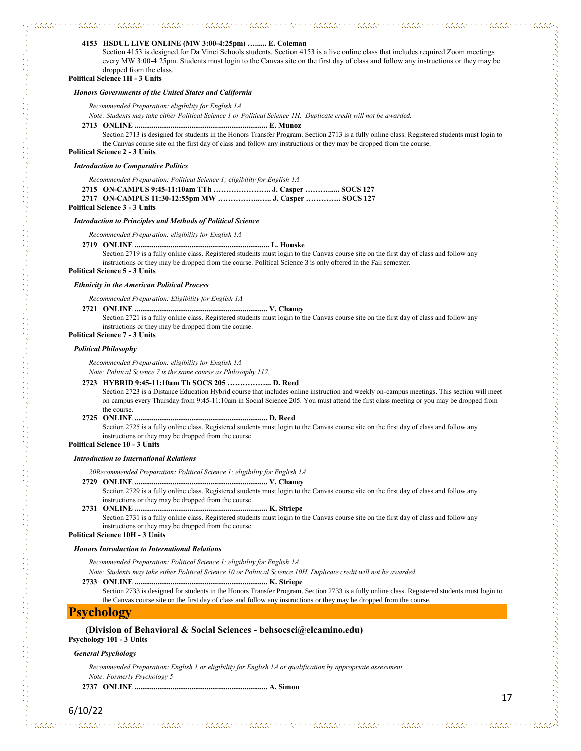#### **4153 HSDUL LIVE ONLINE (MW 3:00-4:25pm) …...... E. Coleman**

Section 4153 is designed for Da Vinci Schools students. Section 4153 is a live online class that includes required Zoom meetings every MW 3:00-4:25pm. Students must login to the Canvas site on the first day of class and follow any instructions or they may be dropped from the class.

### **Political Science 1H - 3 Units**

#### *Honors Governments of the United States and California*

*Recommended Preparation: eligibility for English 1A*

*Note: Students may take either Political Science 1 or Political Science 1H. Duplicate credit will not be awarded.* 

#### **2713 ONLINE ...................................................................... E. Munoz**

Section 2713 is designed for students in the Honors Transfer Program. Section 2713 is a fully online class. Registered students must login to the Canvas course site on the first day of class and follow any instructions or they may be dropped from the course.

#### **Political Science 2 - 3 Units**

#### *Introduction to Comparative Politics*

*Recommended Preparation: Political Science 1; eligibility for English 1A*

**2715 ON-CAMPUS 9:45-11:10am TTh ………………….. J. Casper ………...... SOCS 127 2717 ON-CAMPUS 11:30-12:55pm MW ……………..….. J. Casper ………….. SOCS 127**

#### **Political Science 3 - 3 Units**

#### *Introduction to Principles and Methods of Political Science*

*Recommended Preparation: eligibility for English 1A*

#### **2719 ONLINE ....................................................................... L. Houske**

Section 2719 is a fully online class. Registered students must login to the Canvas course site on the first day of class and follow any instructions or they may be dropped from the course. Political Science 3 is only offered in the Fall semester.

#### **Political Science 5 - 3 Units**

#### *Ethnicity in the American Political Process*

*Recommended Preparation: Eligibility for English 1A*

#### **2721 ONLINE ...................................................................... V. Chaney**

Section 2721 is a fully online class. Registered students must login to the Canvas course site on the first day of class and follow any instructions or they may be dropped from the course.

#### **Political Science 7 - 3 Units**

#### *Political Philosophy*

*Recommended Preparation: eligibility for English 1A*

*Note: Political Science 7 is the same course as Philosophy 117.*

#### **2723 HYBRID 9:45-11:10am Th SOCS 205 ……………... D. Reed**

Section 2723 is a Distance Education Hybrid course that includes online instruction and weekly on-campus meetings. This section will meet on campus every Thursday from 9:45-11:10am in Social Science 205. You must attend the first class meeting or you may be dropped from the course.

#### **2725 ONLINE ...................................................................... D. Reed**

Section 2725 is a fully online class. Registered students must login to the Canvas course site on the first day of class and follow any instructions or they may be dropped from the course.

#### **Political Science 10 - 3 Units**

#### *Introduction to International Relations*

*20Recommended Preparation: Political Science 1; eligibility for English 1A*

**2729 ONLINE ...................................................................... V. Chaney**

Section 2729 is a fully online class. Registered students must login to the Canvas course site on the first day of class and follow any instructions or they may be dropped from the course.

**2731 ONLINE ...................................................................... K. Striepe**

Section 2731 is a fully online class. Registered students must login to the Canvas course site on the first day of class and follow any instructions or they may be dropped from the course.

#### **Political Science 10H - 3 Units**

#### *Honors Introduction to International Relations*

*Recommended Preparation: Political Science 1; eligibility for English 1A*

*Note: Students may take either Political Science 10 or Political Science 10H. Duplicate credit will not be awarded.*

**2733 ONLINE ...................................................................... K. Striepe**

Section 2733 is designed for students in the Honors Transfer Program. Section 2733 is a fully online class. Registered students must login to the Canvas course site on the first day of class and follow any instructions or they may be dropped from the course.

## **Psychology**

## **(Division of Behavioral & Social Sciences - behsocsci@elcamino.edu)**

**Psychology 101 - 3 Units**

#### *General Psychology*

*Recommended Preparation: English 1 or eligibility for English 1A or qualification by appropriate assessment Note: Formerly Psychology 5*

**2737 ONLINE ...................................................................... A. Simon**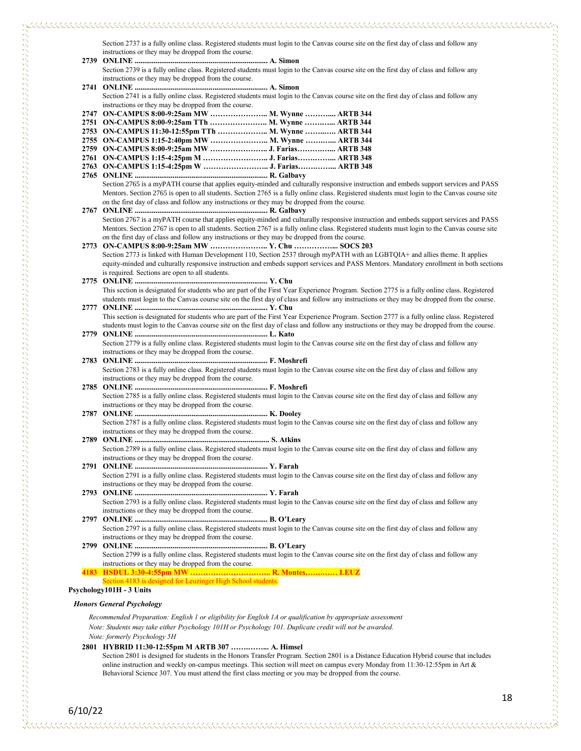| Section 2739 is a fully online class. Registered students must login to the Canvas course site on the first day of class and follow any       |
|-----------------------------------------------------------------------------------------------------------------------------------------------|
| instructions or they may be dropped from the course.                                                                                          |
|                                                                                                                                               |
| Section 2741 is a fully online class. Registered students must login to the Canvas course site on the first day of class and follow any       |
| instructions or they may be dropped from the course.                                                                                          |
| 2747 ON-CAMPUS 8:00-9:25am MW  M. Wynne  ARTB 344                                                                                             |
| 2751 ON-CAMPUS 8:00-9:25am TTh  M. Wynne  ARTB 344                                                                                            |
| 2753 ON-CAMPUS 11:30-12:55pm TTh  M. Wynne  ARTB 344                                                                                          |
| 2755 ON-CAMPUS 1:15-2:40pm MW  M. Wynne  ARTB 344                                                                                             |
| 2759 ON-CAMPUS 8:00-9:25am MW  J. Farias ARTB 348                                                                                             |
| 2761 ON-CAMPUS 1:15-4:25pm M  J. Farias ARTB 348                                                                                              |
|                                                                                                                                               |
|                                                                                                                                               |
| Section 2765 is a myPATH course that applies equity-minded and culturally responsive instruction and embeds support services and PASS         |
| Mentors. Section 2765 is open to all students. Section 2765 is a fully online class. Registered students must login to the Canvas course site |
| on the first day of class and follow any instructions or they may be dropped from the course.                                                 |
|                                                                                                                                               |
| Section 2767 is a myPATH course that applies equity-minded and culturally responsive instruction and embeds support services and PASS         |
| Mentors. Section 2767 is open to all students. Section 2767 is a fully online class. Registered students must login to the Canvas course site |
| on the first day of class and follow any instructions or they may be dropped from the course.                                                 |
| 2773 ON-CAMPUS 8:00-9:25am MW  Y. Chu  SOCS 203                                                                                               |
| Section 2773 is linked with Human Development 110, Section 2537 through myPATH with an LGBTQIA+ and allies theme. It applies                  |
| equity-minded and culturally responsive instruction and embeds support services and PASS Mentors. Mandatory enrollment in both sections       |
| is required. Sections are open to all students.                                                                                               |
|                                                                                                                                               |
| This section is designated for students who are part of the First Year Experience Program. Section 2775 is a fully online class. Registered   |
| students must login to the Canvas course site on the first day of class and follow any instructions or they may be dropped from the course.   |
|                                                                                                                                               |
| This section is designated for students who are part of the First Year Experience Program. Section 2777 is a fully online class. Registered   |
| students must login to the Canvas course site on the first day of class and follow any instructions or they may be dropped from the course.   |
|                                                                                                                                               |
| Section 2779 is a fully online class. Registered students must login to the Canvas course site on the first day of class and follow any       |
| instructions or they may be dropped from the course.                                                                                          |
|                                                                                                                                               |
| Section 2783 is a fully online class. Registered students must login to the Canvas course site on the first day of class and follow any       |
| instructions or they may be dropped from the course.                                                                                          |
|                                                                                                                                               |
| Section 2785 is a fully online class. Registered students must login to the Canvas course site on the first day of class and follow any       |
| instructions or they may be dropped from the course.                                                                                          |
|                                                                                                                                               |
| Section 2787 is a fully online class. Registered students must login to the Canvas course site on the first day of class and follow any       |
|                                                                                                                                               |
| instructions or they may be dropped from the course.                                                                                          |
| Section 2789 is a fully online class. Registered students must login to the Canvas course site on the first day of class and follow any       |
|                                                                                                                                               |
| instructions or they may be dropped from the course.                                                                                          |
|                                                                                                                                               |
| Section 2791 is a fully online class. Registered students must login to the Canvas course site on the first day of class and follow any       |
| instructions or they may be dropped from the course.                                                                                          |
|                                                                                                                                               |
| Section 2793 is a fully online class. Registered students must login to the Canvas course site on the first day of class and follow any       |
| instructions or they may be dropped from the course.                                                                                          |
|                                                                                                                                               |
| Section 2797 is a fully online class. Registered students must login to the Canvas course site on the first day of class and follow any       |
| instructions or they may be dropped from the course.                                                                                          |
|                                                                                                                                               |
| Section 2799 is a fully online class. Registered students must login to the Canvas course site on the first day of class and follow any       |
| instructions or they may be dropped from the course.                                                                                          |
| 4183 HSDUL 3:30-4:55pm MW  R. Montes LEUZ                                                                                                     |
| Section 4183 is designed for Leuzinger High School students.                                                                                  |
| Psychology101H - 3 Units                                                                                                                      |
|                                                                                                                                               |

## *Honors General Psychology*

*Recommended Preparation: English 1 or eligibility for English 1A or qualification by appropriate assessment Note: Students may take either Psychology 101H or Psychology 101. Duplicate credit will not be awarded. Note: formerly Psychology 5H*

## **2801 HYBRID 11:30-12:55pm M ARTB 307 …….……... A. Himsel**

Section 2801 is designed for students in the Honors Transfer Program. Section 2801 is a Distance Education Hybrid course that includes online instruction and weekly on-campus meetings. This section will meet on campus every Monday from 11:30-12:55pm in Art & Behavioral Science 307. You must attend the first class meeting or you may be dropped from the course.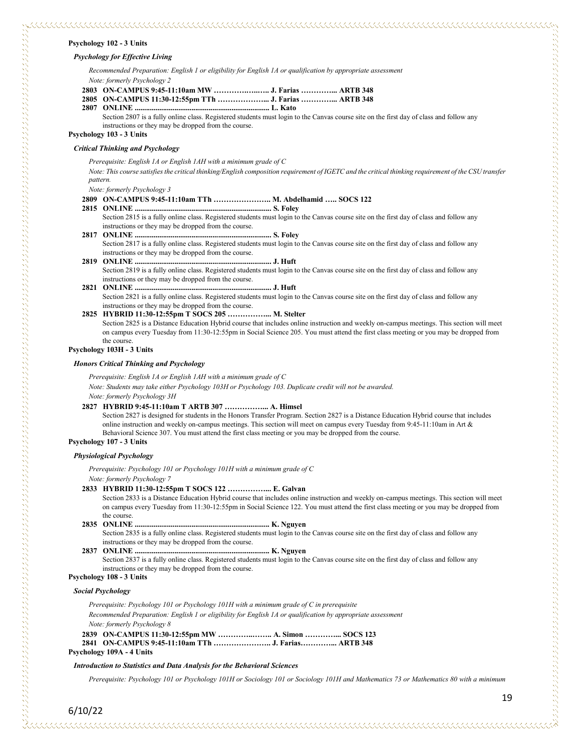#### **Psychology 102 - 3 Units**

#### *Psychology for Effective Living*

*Recommended Preparation: English 1 or eligibility for English 1A or qualification by appropriate assessment Note: formerly Psychology 2*

- **2803 ON-CAMPUS 9:45-11:10am MW ………….…..….. J. Farias …………... ARTB 348 2805 ON-CAMPUS 11:30-12:55pm TTh ………………... J. Farias …………... ARTB 348**
- **2807 ONLINE ....................................................................... L. Kato**

Section 2807 is a fully online class. Registered students must login to the Canvas course site on the first day of class and follow any instructions or they may be dropped from the course.

#### **Psychology 103 - 3 Units**

## *Critical Thinking and Psychology*

*Prerequisite: English 1A or English 1AH with a minimum grade of C*

*Note: This course satisfies the critical thinking/English composition requirement of IGETC and the critical thinking requirement of the CSU transfer pattern.*

*Note: formerly Psychology 3*

#### **2809 ON-CAMPUS 9:45-11:10am TTh ………………….. M. Abdelhamid ….. SOCS 122**

**2815 ONLINE ........................................................................ S. Foley**

Section 2815 is a fully online class. Registered students must login to the Canvas course site on the first day of class and follow any instructions or they may be dropped from the course.

- **2817 ONLINE ........................................................................ S. Foley** Section 2817 is a fully online class. Registered students must login to the Canvas course site on the first day of class and follow any instructions or they may be dropped from the course.
- **2819 ONLINE ........................................................................ J. Huft** Section 2819 is a fully online class. Registered students must login to the Canvas course site on the first day of class and follow any instructions or they may be dropped from the course.
- **2821 ONLINE ........................................................................ J. Huft** Section 2821 is a fully online class. Registered students must login to the Canvas course site on the first day of class and follow any instructions or they may be dropped from the course.
- **2825 HYBRID 11:30-12:55pm T SOCS 205 ……………... M. Stelter** Section 2825 is a Distance Education Hybrid course that includes online instruction and weekly on-campus meetings. This section will meet on campus every Tuesday from 11:30-12:55pm in Social Science 205. You must attend the first class meeting or you may be dropped from the course.

#### **Psychology 103H - 3 Units**

#### *Honors Critical Thinking and Psychology*

*Prerequisite: English 1A or English 1AH with a minimum grade of C*

*Note: Students may take either Psychology 103H or Psychology 103. Duplicate credit will not be awarded.*

*Note: formerly Psychology 3H*

## **2827 HYBRID 9:45-11:10am T ARTB 307 ……………... A. Himsel**

Section 2827 is designed for students in the Honors Transfer Program. Section 2827 is a Distance Education Hybrid course that includes online instruction and weekly on-campus meetings. This section will meet on campus every Tuesday from 9:45-11:10am in Art & Behavioral Science 307. You must attend the first class meeting or you may be dropped from the course.

## **Psychology 107 - 3 Units**

#### *Physiological Psychology*

*Prerequisite: Psychology 101 or Psychology 101H with a minimum grade of C Note: formerly Psychology 7*

**2833 HYBRID 11:30-12:55pm T SOCS 122 ……………... E. Galvan**

Section 2833 is a Distance Education Hybrid course that includes online instruction and weekly on-campus meetings. This section will meet on campus every Tuesday from 11:30-12:55pm in Social Science 122. You must attend the first class meeting or you may be dropped from the course.

**2835 ONLINE ....................................................................... K. Nguyen**

Section 2835 is a fully online class. Registered students must login to the Canvas course site on the first day of class and follow any instructions or they may be dropped from the course.

## **2837 ONLINE ....................................................................... K. Nguyen**

Section 2837 is a fully online class. Registered students must login to the Canvas course site on the first day of class and follow any instructions or they may be dropped from the course. **Psychology 108 - 3 Units**

## *Social Psychology*

6/10/22

| Prerequisite: Psychology 101 or Psychology 101H with a minimum grade of C in prerequisite                   |  |
|-------------------------------------------------------------------------------------------------------------|--|
| Recommended Preparation: English 1 or eligibility for English 1A or qualification by appropriate assessment |  |
| Note: formerly Psychology 8                                                                                 |  |
| 2839 ON-CAMPUS 11:30-12:55pm MW  A. Simon  SOCS 123                                                         |  |
|                                                                                                             |  |
| Psychology 109A - 4 Units                                                                                   |  |

#### *Introduction to Statistics and Data Analysis for the Behavioral Sciences*

*Prerequisite: Psychology 101 or Psychology 101H or Sociology 101 or Sociology 101H and Mathematics 73 or Mathematics 80 with a minimum*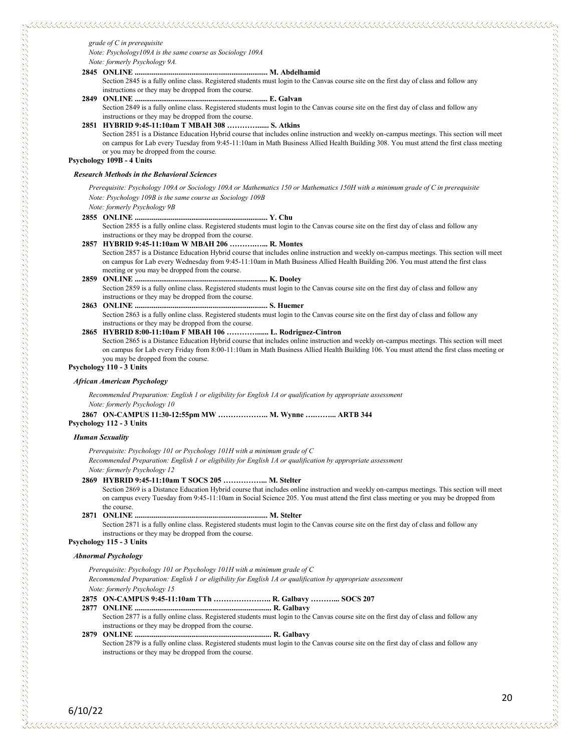*Note: formerly Psychology 9A.*

### **2845 ONLINE ...................................................................... M. Abdelhamid**

Section 2845 is a fully online class. Registered students must login to the Canvas course site on the first day of class and follow any instructions or they may be dropped from the course.

**2849 ONLINE ...................................................................... E. Galvan** Section 2849 is a fully online class. Registered students must login to the Canvas course site on the first day of class and follow any instructions or they may be dropped from the course.

## **2851 HYBRID 9:45-11:10am T MBAH 308 …………...... S. Atkins**

Section 2851 is a Distance Education Hybrid course that includes online instruction and weekly on-campus meetings. This section will meet on campus for Lab every Tuesday from 9:45-11:10am in Math Business Allied Health Building 308. You must attend the first class meeting or you may be dropped from the course.

**Psychology 109B - 4 Units**

#### *Research Methods in the Behavioral Sciences*

*Prerequisite: Psychology 109A or Sociology 109A or Mathematics 150 or Mathematics 150H with a minimum grade of C in prerequisite Note: Psychology 109B is the same course as Sociology 109B*

## *Note: formerly Psychology 9B*

**2855 ONLINE ...................................................................... Y. Chu**

- Section 2855 is a fully online class. Registered students must login to the Canvas course site on the first day of class and follow any
- instructions or they may be dropped from the course. **2857 HYBRID 9:45-11:10am W MBAH 206 ……….…... R. Montes**

Section 2857 is a Distance Education Hybrid course that includes online instruction and weekly on-campus meetings. This section will meet on campus for Lab every Wednesday from 9:45-11:10am in Math Business Allied Health Building 206. You must attend the first class

meeting or you may be dropped from the course.

#### **2859 ONLINE ...................................................................... K. Dooley**

Section 2859 is a fully online class. Registered students must login to the Canvas course site on the first day of class and follow any instructions or they may be dropped from the course.

**2863 ONLINE ...................................................................... S. Huemer**

Section 2863 is a fully online class. Registered students must login to the Canvas course site on the first day of class and follow any instructions or they may be dropped from the course.

#### **2865 HYBRID 8:00-11:10am F MBAH 106 …………...... L. Rodriguez-Cintron**

Section 2865 is a Distance Education Hybrid course that includes online instruction and weekly on-campus meetings. This section will meet on campus for Lab every Friday from 8:00-11:10am in Math Business Allied Health Building 106. You must attend the first class meeting or you may be dropped from the course.

#### **Psychology 110 - 3 Units**

#### *African American Psychology*

*Recommended Preparation: English 1 or eligibility for English 1A or qualification by appropriate assessment Note: formerly Psychology 10*

**2867 ON-CAMPUS 11:30-12:55pm MW ……………….. M. Wynne ….……... ARTB 344**

**Psychology 112 - 3 Units**

#### *Human Sexuality*

*Prerequisite: Psychology 101 or Psychology 101H with a minimum grade of C*

*Recommended Preparation: English 1 or eligibility for English 1A or qualification by appropriate assessment*

*Note: formerly Psychology 12*

## **2869 HYBRID 9:45-11:10am T SOCS 205 ……………... M. Stelter**

Section 2869 is a Distance Education Hybrid course that includes online instruction and weekly on-campus meetings. This section will meet on campus every Tuesday from 9:45-11:10am in Social Science 205. You must attend the first class meeting or you may be dropped from the course.

#### **2871 ONLINE ...................................................................... M. Stelter**

Section 2871 is a fully online class. Registered students must login to the Canvas course site on the first day of class and follow any instructions or they may be dropped from the course.

## **Psychology 115 - 3 Units**

6/10/22

## *Abnormal Psychology*

- *Prerequisite: Psychology 101 or Psychology 101H with a minimum grade of C Recommended Preparation: English 1 or eligibility for English 1A or qualification by appropriate assessment Note: formerly Psychology 15* **2875 ON-CAMPUS 9:45-11:10am TTh ………………….. R. Galbavy ………... SOCS 207**
- **2877 ONLINE ........................................................................ R. Galbavy** Section 2877 is a fully online class. Registered students must login to the Canvas course site on the first day of class and follow any
- instructions or they may be dropped from the course. **2879 ONLINE ........................................................................ R. Galbavy**

Section 2879 is a fully online class. Registered students must login to the Canvas course site on the first day of class and follow any instructions or they may be dropped from the course.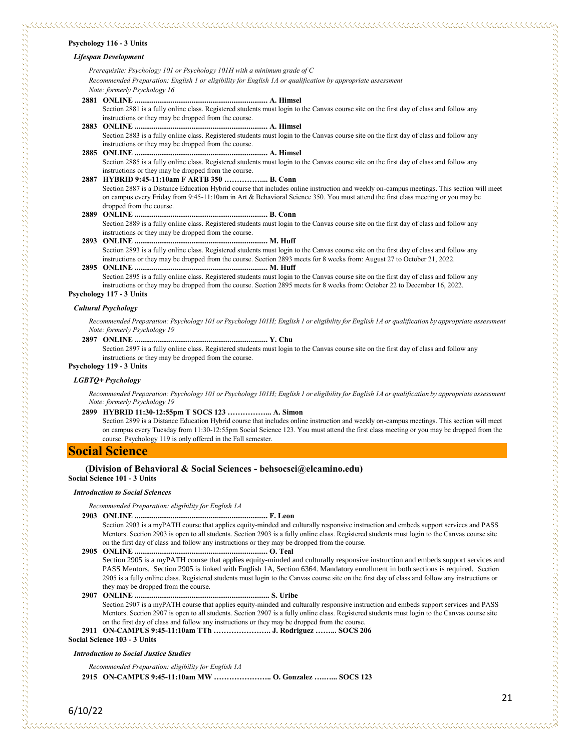#### **Psychology 116 - 3 Units**

#### *Lifespan Development*

*Prerequisite: Psychology 101 or Psychology 101H with a minimum grade of C Recommended Preparation: English 1 or eligibility for English 1A or qualification by appropriate assessment Note: formerly Psychology 16*

**2881 ONLINE ...................................................................... A. Himsel** Section 2881 is a fully online class. Registered students must login to the Canvas course site on the first day of class and follow any instructions or they may be dropped from the course. **2883 ONLINE ...................................................................... A. Himsel**

- Section 2883 is a fully online class. Registered students must login to the Canvas course site on the first day of class and follow any instructions or they may be dropped from the course.
- **2885 ONLINE ...................................................................... A. Himsel** Section 2885 is a fully online class. Registered students must login to the Canvas course site on the first day of class and follow any instructions or they may be dropped from the course.
- **2887 HYBRID 9:45-11:10am F ARTB 350 ……………... B. Conn** Section 2887 is a Distance Education Hybrid course that includes online instruction and weekly on-campus meetings. This section will meet on campus every Friday from 9:45-11:10am in Art & Behavioral Science 350. You must attend the first class meeting or you may be dropped from the course.
- **2889 ONLINE ...................................................................... B. Conn** Section 2889 is a fully online class. Registered students must login to the Canvas course site on the first day of class and follow any instructions or they may be dropped from the course.
- **2893 ONLINE ...................................................................... M. Huff** Section 2893 is a fully online class. Registered students must login to the Canvas course site on the first day of class and follow any instructions or they may be dropped from the course. Section 2893 meets for 8 weeks from: August 27 to October 21, 2022.
- **2895 ONLINE ...................................................................... M. Huff** Section 2895 is a fully online class. Registered students must login to the Canvas course site on the first day of class and follow any
	- instructions or they may be dropped from the course. Section 2895 meets for 8 weeks from: October 22 to December 16, 2022.

#### **Psychology 117 - 3 Units**

#### *Cultural Psychology*

*Recommended Preparation: Psychology 101 or Psychology 101H; English 1 or eligibility for English 1A or qualification by appropriate assessment Note: formerly Psychology 19*

**2897 ONLINE ...................................................................... Y. Chu**

Section 2897 is a fully online class. Registered students must login to the Canvas course site on the first day of class and follow any instructions or they may be dropped from the course.

#### **Psychology 119 - 3 Units**

#### *LGBTQ+ Psychology*

*Recommended Preparation: Psychology 101 or Psychology 101H; English 1 or eligibility for English 1A or qualification by appropriate assessment Note: formerly Psychology 19*

#### **2899 HYBRID 11:30-12:55pm T SOCS 123 ……………... A. Simon**

Section 2899 is a Distance Education Hybrid course that includes online instruction and weekly on-campus meetings. This section will meet on campus every Tuesday from 11:30-12:55pm Social Science 123. You must attend the first class meeting or you may be dropped from the course. Psychology 119 is only offered in the Fall semester.

#### **Social Science**

#### **(Division of Behavioral & Social Sciences - behsocsci@elcamino.edu)**

**Social Science 101 - 3 Units**

#### *Introduction to Social Sciences*

*Recommended Preparation: eligibility for English 1A*

#### **2903 ONLINE ...................................................................... F. Leon**

Section 2903 is a myPATH course that applies equity-minded and culturally responsive instruction and embeds support services and PASS Mentors. Section 2903 is open to all students. Section 2903 is a fully online class. Registered students must login to the Canvas course site on the first day of class and follow any instructions or they may be dropped from the course.

```
2905 ONLINE ...................................................................... O. Teal
```
Section 2905 is a myPATH course that applies equity-minded and culturally responsive instruction and embeds support services and PASS Mentors. Section 2905 is linked with English 1A, Section 6364. Mandatory enrollment in both sections is required. Section 2905 is a fully online class. Registered students must login to the Canvas course site on the first day of class and follow any instructions or they may be dropped from the course.

#### **2907 ONLINE ....................................................................... S. Uribe**

Section 2907 is a myPATH course that applies equity-minded and culturally responsive instruction and embeds support services and PASS Mentors. Section 2907 is open to all students. Section 2907 is a fully online class. Registered students must login to the Canvas course site on the first day of class and follow any instructions or they may be dropped from the course.

**2911 ON-CAMPUS 9:45-11:10am TTh ………………….. J. Rodriguez ……... SOCS 206**

**Social Science 103 - 3 Units**

#### *Introduction to Social Justice Studies*

*Recommended Preparation: eligibility for English 1A*

**2915 ON-CAMPUS 9:45-11:10am MW ………………….. O. Gonzalez ….…... SOCS 123**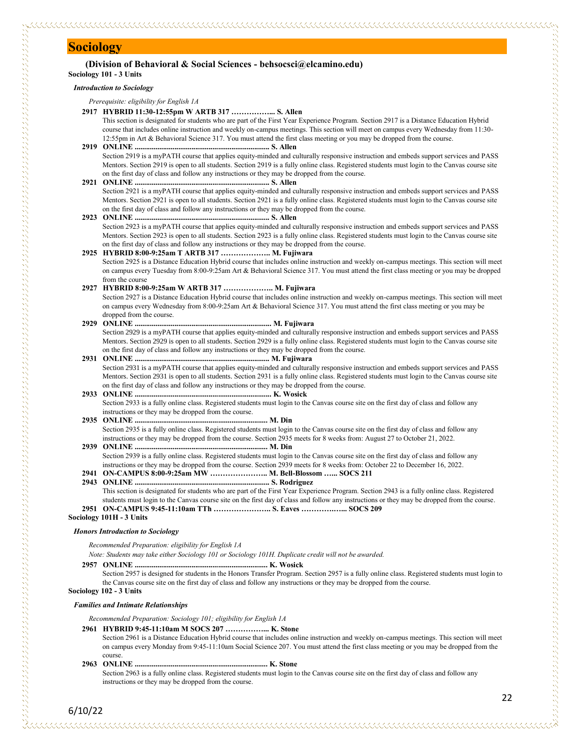## **Sociology**

#### **(Division of Behavioral & Social Sciences - behsocsci@elcamino.edu) Sociology 101 - 3 Units**

## *Introduction to Sociology*

## *Prerequisite: eligibility for English 1A*

#### **2917 HYBRID 11:30-12:55pm W ARTB 317 ……………... S. Allen** This section is designated for students who are part of the First Year Experience Program. Section 2917 is a Distance Education Hybrid

course that includes online instruction and weekly on-campus meetings. This section will meet on campus every Wednesday from 11:30- 12:55pm in Art & Behavioral Science 317. You must attend the first class meeting or you may be dropped from the course.

#### **2919 ONLINE ....................................................................... S. Allen** Section 2919 is a myPATH course that applies equity-minded and culturally responsive instruction and embeds support services and PASS Mentors. Section 2919 is open to all students. Section 2919 is a fully online class. Registered students must login to the Canvas course site on the first day of class and follow any instructions or they may be dropped from the course.

#### **2921 ONLINE ....................................................................... S. Allen** Section 2921 is a myPATH course that applies equity-minded and culturally responsive instruction and embeds support services and PASS Mentors. Section 2921 is open to all students. Section 2921 is a fully online class. Registered students must login to the Canvas course site on the first day of class and follow any instructions or they may be dropped from the course.

#### **2923 ONLINE ....................................................................... S. Allen** Section 2923 is a myPATH course that applies equity-minded and culturally responsive instruction and embeds support services and PASS Mentors. Section 2923 is open to all students. Section 2923 is a fully online class. Registered students must login to the Canvas course site on the first day of class and follow any instructions or they may be dropped from the course.

## **2925 HYBRID 8:00-9:25am T ARTB 317 ……………….. M. Fujiwara**

Section 2925 is a Distance Education Hybrid course that includes online instruction and weekly on-campus meetings. This section will meet on campus every Tuesday from 8:00-9:25am Art & Behavioral Science 317. You must attend the first class meeting or you may be dropped from the course

## **2927 HYBRID 8:00-9:25am W ARTB 317 ……………….. M. Fujiwara**

Section 2927 is a Distance Education Hybrid course that includes online instruction and weekly on-campus meetings. This section will meet on campus every Wednesday from 8:00-9:25am Art & Behavioral Science 317. You must attend the first class meeting or you may be dropped from the course.

#### **2929 ONLINE ........................................................................ M. Fujiwara**

Section 2929 is a myPATH course that applies equity-minded and culturally responsive instruction and embeds support services and PASS Mentors. Section 2929 is open to all students. Section 2929 is a fully online class. Registered students must login to the Canvas course site on the first day of class and follow any instructions or they may be dropped from the course.

### **2931 ONLINE ....................................................................... M. Fujiwara** Section 2931 is a myPATH course that applies equity-minded and culturally responsive instruction and embeds support services and PASS Mentors. Section 2931 is open to all students. Section 2931 is a fully online class. Registered students must login to the Canvas course site on the first day of class and follow any instructions or they may be dropped from the course.

**2933 ONLINE ........................................................................ K. Wosick** Section 2933 is a fully online class. Registered students must login to the Canvas course site on the first day of class and follow any instructions or they may be dropped from the course.

#### **2935 ONLINE ...................................................................... M. Din** Section 2935 is a fully online class. Registered students must login to the Canvas course site on the first day of class and follow any instructions or they may be dropped from the course. Section 2935 meets for 8 weeks from: August 27 to October 21, 2022.

- **2939 ONLINE ...................................................................... M. Din** Section 2939 is a fully online class. Registered students must login to the Canvas course site on the first day of class and follow any instructions or they may be dropped from the course. Section 2939 meets for 8 weeks from: October 22 to December 16, 2022.
- **2941 ON-CAMPUS 8:00-9:25am MW ………………….. M. Bell-Blossom …... SOCS 211**
- **2943 ONLINE ....................................................................... S. Rodriguez**

This section is designated for students who are part of the First Year Experience Program. Section 2943 is a fully online class. Registered students must login to the Canvas course site on the first day of class and follow any instructions or they may be dropped from the course. **2951 ON-CAMPUS 9:45-11:10am TTh ………………….. S. Eaves ………….…... SOCS 209**

#### **Sociology 101H - 3 Units**

しかい しょうしょう こうしょう こうしょう こうしょう こうしょう こうしょう こうしょう こうしょう こうしょう こうしょう こうしょう こうしょう こうしょう こうしょう こうしょう こうしょう こうしょう こうしょう

#### *Honors Introduction to Sociology*

*Recommended Preparation: eligibility for English 1A*

*Note: Students may take either Sociology 101 or Sociology 101H. Duplicate credit will not be awarded.*

#### **2957 ONLINE ...................................................................... K. Wosick**

Section 2957 is designed for students in the Honors Transfer Program. Section 2957 is a fully online class. Registered students must login to the Canvas course site on the first day of class and follow any instructions or they may be dropped from the course.

## **Sociology 102 - 3 Units** *Families and Intimate Relationships*

*Recommended Preparation: Sociology 101; eligibility for English 1A*

#### **2961 HYBRID 9:45-11:10am M SOCS 207 ……………... K. Stone**

Section 2961 is a Distance Education Hybrid course that includes online instruction and weekly on-campus meetings. This section will meet on campus every Monday from 9:45-11:10am Social Science 207. You must attend the first class meeting or you may be dropped from the course.

#### **2963 ONLINE ...................................................................... K. Stone**

Section 2963 is a fully online class. Registered students must login to the Canvas course site on the first day of class and follow any instructions or they may be dropped from the course.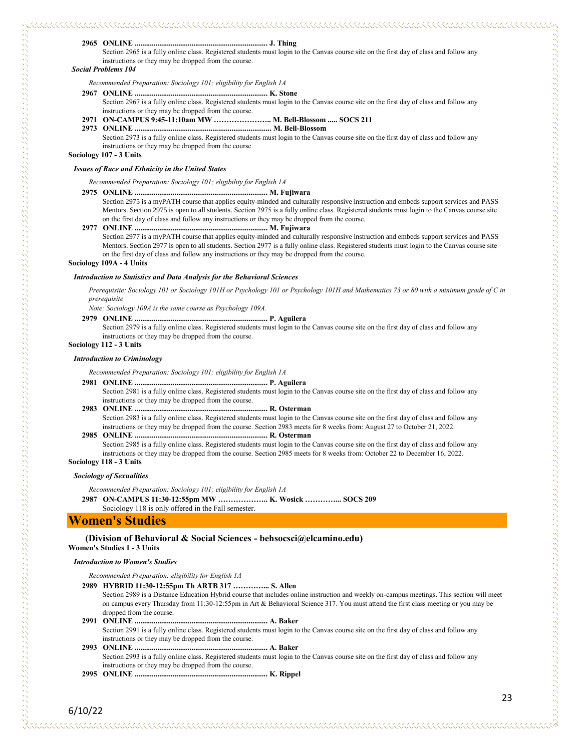#### **2965 ONLINE ...................................................................... J. Thing**

# 

Section 2965 is a fully online class. Registered students must login to the Canvas course site on the first day of class and follow any instructions or they may be dropped from the course.

#### *Social Problems 104*

*Recommended Preparation: Sociology 101; eligibility for English 1A*

#### **2967 ONLINE ...................................................................... K. Stone**

Section 2967 is a fully online class. Registered students must login to the Canvas course site on the first day of class and follow any instructions or they may be dropped from the course.

## **2971 ON-CAMPUS 9:45-11:10am MW ………………….. M. Bell-Blossom ..... SOCS 211**

**2973 ONLINE ........................................................................ M. Bell-Blossom**

Section 2973 is a fully online class. Registered students must login to the Canvas course site on the first day of class and follow any instructions or they may be dropped from the course.

**Sociology 107 - 3 Units**

#### *Issues of Race and Ethnicity in the United States*

*Recommended Preparation: Sociology 101; eligibility for English 1A*

#### **2975 ONLINE ...................................................................... M. Fujiwara**

Section 2975 is a myPATH course that applies equity-minded and culturally responsive instruction and embeds support services and PASS Mentors. Section 2975 is open to all students. Section 2975 is a fully online class. Registered students must login to the Canvas course site on the first day of class and follow any instructions or they may be dropped from the course.

#### **2977 ONLINE ...................................................................... M. Fujiwara**

Section 2977 is a myPATH course that applies equity-minded and culturally responsive instruction and embeds support services and PASS Mentors. Section 2977 is open to all students. Section 2977 is a fully online class. Registered students must login to the Canvas course site on the first day of class and follow any instructions or they may be dropped from the course.

#### **Sociology 109A - 4 Units**

#### *Introduction to Statistics and Data Analysis for the Behavioral Sciences*

*Prerequisite: Sociology 101 or Sociology 101H or Psychology 101 or Psychology 101H and Mathematics 73 or 80 with a minimum grade of C in prerequisite*

*Note: Sociology 109A is the same course as Psychology 109A.*

#### **2979 ONLINE ...................................................................... P. Aguilera**

Section 2979 is a fully online class. Registered students must login to the Canvas course site on the first day of class and follow any instructions or they may be dropped from the course.

## **Sociology 112 - 3 Units**

#### *Introduction to Criminology*

*Recommended Preparation: Sociology 101; eligibility for English 1A*

- **2981 ONLINE ...................................................................... P. Aguilera** Section 2981 is a fully online class. Registered students must login to the Canvas course site on the first day of class and follow any instructions or they may be dropped from the course.
- **2983 ONLINE ...................................................................... R. Osterman** Section 2983 is a fully online class. Registered students must login to the Canvas course site on the first day of class and follow any instructions or they may be dropped from the course. Section 2983 meets for 8 weeks from: August 27 to October 21, 2022.
- **2985 ONLINE ...................................................................... R. Osterman** Section 2985 is a fully online class. Registered students must login to the Canvas course site on the first day of class and follow any instructions or they may be dropped from the course. Section 2985 meets for 8 weeks from: October 22 to December 16, 2022.

#### **Sociology 118 - 3 Units**

#### *Sociology of Sexualities*

*Recommended Preparation: Sociology 101; eligibility for English 1A*

**2987 ON-CAMPUS 11:30-12:55pm MW ……………….. K. Wosick …………... SOCS 209** Sociology 118 is only offered in the Fall semester.

## **Women's Studies**

#### **(Division of Behavioral & Social Sciences - behsocsci@elcamino.edu) Women's Studies 1 - 3 Units**

#### *Introduction to Women's Studies*

- *Recommended Preparation: eligibility for English 1A*
- **2989 HYBRID 11:30-12:55pm Th ARTB 317 …………... S. Allen**
	- Section 2989 is a Distance Education Hybrid course that includes online instruction and weekly on-campus meetings. This section will meet on campus every Thursday from 11:30-12:55pm in Art & Behavioral Science 317. You must attend the first class meeting or you may be dropped from the course.
- **2991 ONLINE ...................................................................... A. Baker** Section 2991 is a fully online class. Registered students must login to the Canvas course site on the first day of class and follow any instructions or they may be dropped from the course.
- **2993 ONLINE ...................................................................... A. Baker** Section 2993 is a fully online class. Registered students must login to the Canvas course site on the first day of class and follow any instructions or they may be dropped from the course.
- **2995 ONLINE ...................................................................... K. Rippel**